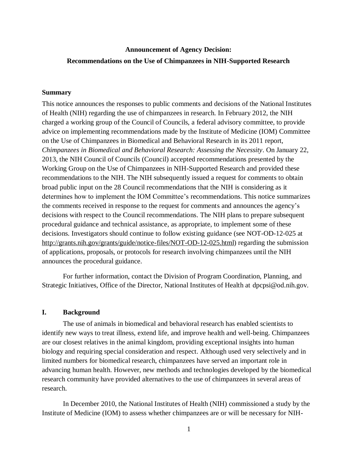# **Announcement of Agency Decision: Recommendations on the Use of Chimpanzees in NIH-Supported Research**

## **Summary**

This notice announces the responses to public comments and decisions of the National Institutes of Health (NIH) regarding the use of chimpanzees in research. In February 2012, the NIH charged a working group of the Council of Councils, a federal advisory committee, to provide advice on implementing recommendations made by the Institute of Medicine (IOM) Committee on the Use of Chimpanzees in Biomedical and Behavioral Research in its 2011 report, *Chimpanzees in Biomedical and Behavioral Research: Assessing the Necessity*. On January 22, 2013, the NIH Council of Councils (Council) accepted recommendations presented by the Working Group on the Use of Chimpanzees in NIH-Supported Research and provided these recommendations to the NIH. The NIH subsequently issued a request for comments to obtain broad public input on the 28 Council recommendations that the NIH is considering as it determines how to implement the IOM Committee's recommendations. This notice summarizes the comments received in response to the request for comments and announces the agency's decisions with respect to the Council recommendations. The NIH plans to prepare subsequent procedural guidance and technical assistance, as appropriate, to implement some of these decisions. Investigators should continue to follow existing guidance (see NOT-OD-12-025 at [http://grants.nih.gov/grants/guide/notice-files/NOT-OD-12-025.html\)](http://grants.nih.gov/grants/guide/notice-files/NOT-OD-12-025.html) regarding the submission of applications, proposals, or protocols for research involving chimpanzees until the NIH announces the procedural guidance.

For further information, contact the Division of Program Coordination, Planning, and Strategic Initiatives, Office of the Director, National Institutes of Health at [dpcpsi@od.nih.gov.](mailto:dpcpsi@od.nih.gov)

## **I. Background**

The use of animals in biomedical and behavioral research has enabled scientists to identify new ways to treat illness, extend life, and improve health and well-being. Chimpanzees are our closest relatives in the animal kingdom, providing exceptional insights into human biology and requiring special consideration and respect. Although used very selectively and in limited numbers for biomedical research, chimpanzees have served an important role in advancing human health. However, new methods and technologies developed by the biomedical research community have provided alternatives to the use of chimpanzees in several areas of research.

In December 2010, the National Institutes of Health (NIH) commissioned a study by the Institute of Medicine (IOM) to assess whether chimpanzees are or will be necessary for NIH-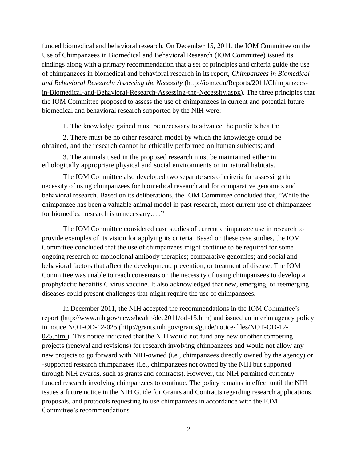funded biomedical and behavioral research. On December 15, 2011, the IOM Committee on the Use of Chimpanzees in Biomedical and Behavioral Research (IOM Committee) issued its findings along with a primary recommendation that a set of principles and criteria guide the use of chimpanzees in biomedical and behavioral research in its report, *Chimpanzees in Biomedical and Behavioral Research: Assessing the Necessity* [\(http://iom.edu/Reports/2011/Chimpanzees](http://iom.edu/Reports/2011/Chimpanzees-in-Biomedical-and-Behavioral-Research-Assessing-the-Necessity.aspx)[in-Biomedical-and-Behavioral-Research-Assessing-the-Necessity.aspx\)](http://iom.edu/Reports/2011/Chimpanzees-in-Biomedical-and-Behavioral-Research-Assessing-the-Necessity.aspx). The three principles that the IOM Committee proposed to assess the use of chimpanzees in current and potential future biomedical and behavioral research supported by the NIH were:

1. The knowledge gained must be necessary to advance the public's health;

2. There must be no other research model by which the knowledge could be obtained, and the research cannot be ethically performed on human subjects; and

3. The animals used in the proposed research must be maintained either in ethologically appropriate physical and social environments or in natural habitats.

The IOM Committee also developed two separate sets of criteria for assessing the necessity of using chimpanzees for biomedical research and for comparative genomics and behavioral research. Based on its deliberations, the IOM Committee concluded that, "While the chimpanzee has been a valuable animal model in past research, most current use of chimpanzees for biomedical research is unnecessary… ."

The IOM Committee considered case studies of current chimpanzee use in research to provide examples of its vision for applying its criteria. Based on these case studies, the IOM Committee concluded that the use of chimpanzees might continue to be required for some ongoing research on monoclonal antibody therapies; comparative genomics; and social and behavioral factors that affect the development, prevention, or treatment of disease. The IOM Committee was unable to reach consensus on the necessity of using chimpanzees to develop a prophylactic hepatitis C virus vaccine. It also acknowledged that new, emerging, or reemerging diseases could present challenges that might require the use of chimpanzees.

In December 2011, the NIH accepted the recommendations in the IOM Committee's report [\(http://www.nih.gov/news/health/dec2011/od-15.htm\)](http://www.nih.gov/news/health/dec2011/od-15.htm) and issued an interim agency policy in notice NOT-OD-12-025 [\(http://grants.nih.gov/grants/guide/notice-files/NOT-OD-12-](http://grants.nih.gov/grants/guide/notice-files/NOT-OD-12-025.html) [025.html\)](http://grants.nih.gov/grants/guide/notice-files/NOT-OD-12-025.html). This notice indicated that the NIH would not fund any new or other competing projects (renewal and revisions) for research involving chimpanzees and would not allow any new projects to go forward with NIH-owned (i.e., chimpanzees directly owned by the agency) or -supported research chimpanzees (i.e., chimpanzees not owned by the NIH but supported through NIH awards, such as grants and contracts). However, the NIH permitted currently funded research involving chimpanzees to continue. The policy remains in effect until the NIH issues a future notice in the NIH Guide for Grants and Contracts regarding research applications, proposals, and protocols requesting to use chimpanzees in accordance with the IO M Committee's recommendations.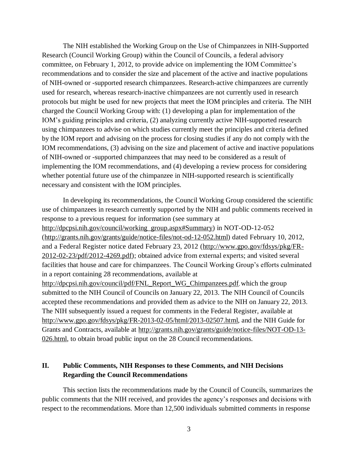The NIH established the Working Group on the Use of Chimpanzees in NIH-Supported Research (Council Working Group) within the Council of Councils, a federal advisory committee, on February 1, 2012, to provide advice on implementing the IOM Committee's recommendations and to consider the size and placement of the active and inactive populations of NIH-owned or -supported research chimpanzees. Research-active chimpanzees are currently used for research, whereas research-inactive chimpanzees are not currently used in research protocols but might be used for new projects that meet the IOM principles and criteria. The NIH charged the Council Working Group with: (1) developing a plan for implementation of the IOM's guiding principles and criteria, (2) analyzing currently active NIH-supported research using chimpanzees to advise on which studies currently meet the principles and criteria defined by the IOM report and advising on the process for closing studies if any do not comply with the IOM recommendations, (3) advising on the size and placement of active and inactive populations of NIH-owned or -supported chimpanzees that may need to be considered as a result of implementing the IOM recommendations, and (4) developing a review process for considering whether potential future use of the chimpanzee in NIH-supported research is scientifically necessary and consistent with the IOM principles.

In developing its recommendations, the Council Working Group considered the scientific use of chimpanzees in research currently supported by the NIH and public comments received in response to a previous request for information (see summary at [http://dpcpsi.nih.gov/council/working\\_group.aspx#Summary\)](http://dpcpsi.nih.gov/council/working_group.aspx#Summary) in NOT-OD-12-052 [\(http://grants.nih.gov/grants/guide/notice-files/not-od-12-052.html\)](http://grants.nih.gov/grants/guide/notice-files/not-od-12-052.html) dated February 10, 2012, and a Federal Register notice dated February 23, 2012 [\(http://www.gpo.gov/fdsys/pkg/FR-](http://www.gpo.gov/fdsys/pkg/FR-2012-02-23/pdf/2012-4269.pdf)[2012-02-23/pdf/2012-4269.pdf\)](http://www.gpo.gov/fdsys/pkg/FR-2012-02-23/pdf/2012-4269.pdf); obtained advice from external experts; and visited several facilities that house and care for chimpanzees. The Council Working Group's efforts culminated in a report containing 28 recommendations, available at [http://dpcpsi.nih.gov/council/pdf/FNL\\_Report\\_WG\\_Chimpanzees.pdf](http://dpcpsi.nih.gov/council/pdf/FNL_Report_WG_Chimpanzees.pdf), which the group submitted to the NIH Council of Councils on January 22, 2013. The NIH Council of Councils accepted these recommendations and provided them as advice to the NIH on January 22, 2013. The NIH subsequently issued a request for comments in the Federal Register, available at [http://www.gpo.gov/fdsys/pkg/FR-2013-02-05/html/2013-02507.html](http://www.gpo.gov/fdsys/pkg/FR-2013-02-05/html/2013-02507.htm), and the NIH Guide for Grants and Contracts, available at [http://grants.nih.gov/grants/guide/notice-files/NOT-OD-13-](http://grants.nih.gov/grants/guide/notice-files/NOT-OD-13-026.html) [026.html,](http://grants.nih.gov/grants/guide/notice-files/NOT-OD-13-026.html) to obtain broad public input on the 28 Council recommendations.

## **II. Public Comments, NIH Responses to these Comments, and NIH Decisions Regarding the Council Recommendations**

This section lists the recommendations made by the Council of Councils, summarizes the public comments that the NIH received, and provides the agency's responses and decisions with respect to the recommendations. More than 12,500 individuals submitted comments in response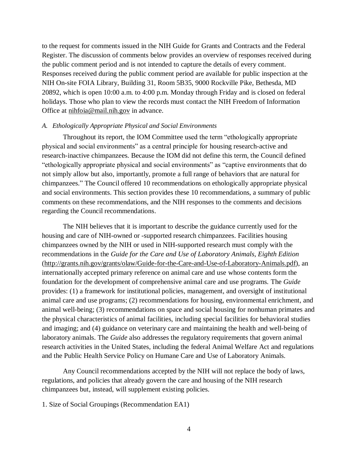to the request for comments issued in the NIH Guide for Grants and Contracts and the Federal Register. The discussion of comments below provides an overview of responses received during the public comment period and is not intended to capture the details of every comment. Responses received during the public comment period are available for public inspection at the NIH On-site FOIA Library, Building 31, Room 5B35, 9000 Rockville Pike, Bethesda, MD 20892, which is open 10:00 a.m. to 4:00 p.m. Monday through Friday and is closed on federal holidays. Those who plan to view the records must contact the NIH Freedom of Information Office at [nihfoia@mail.nih.gov](mailto:nihfoia@mail.nih.gov) in advance.

#### *A. Ethologically Appropriate Physical and Social Environments*

Throughout its report, the IOM Committee used the term "ethologically appropriate physical and social environments" as a central principle for housing research-active and research-inactive chimpanzees. Because the IOM did not define this term, the Council defined "ethologically appropriate physical and social environments" as "captive environments that do not simply allow but also, importantly, promote a full range of behaviors that are natural for chimpanzees." The Council offered 10 recommendations on ethologically appropriate physical and social environments. This section provides these 10 recommendations, a summary of public comments on these recommendations, and the NIH responses to the comments and decisions regarding the Council recommendations.

The NIH believes that it is important to describe the guidance currently used for the housing and care of NIH-owned or -supported research chimpanzees. Facilities housing chimpanzees owned by the NIH or used in NIH-supported research must comply with the recommendations in the *Guide for the Care and Use of Laboratory Animals, Eighth Edition* [\(http://grants.nih.gov/grants/olaw/Guide-for-the-Care-and-Use-of-Laboratory-Animals.pdf\)](http://grants.nih.gov/grants/olaw/Guide-for-the-Care-and-Use-of-Laboratory-Animals.pdf), an internationally accepted primary reference on animal care and use whose contents form the foundation for the development of comprehensive animal care and use programs. The *Guide* provides: (1) a framework for institutional policies, management, and oversight of institutional animal care and use programs; (2) recommendations for housing, environmental enrichment, and animal well-being; (3) recommendations on space and social housing for nonhuman primates and the physical characteristics of animal facilities, including special facilities for behavioral studies and imaging; and (4) guidance on veterinary care and maintaining the health and well-being of laboratory animals. The *Guide* also addresses the regulatory requirements that govern animal research activities in the United States, including the federal Animal Welfare Act and regulations and the Public Health Service Policy on Humane Care and Use of Laboratory Animals.

Any Council recommendations accepted by the NIH will not replace the body of laws, regulations, and policies that already govern the care and housing of the NIH research chimpanzees but, instead, will supplement existing policies.

1. Size of Social Groupings (Recommendation EA1)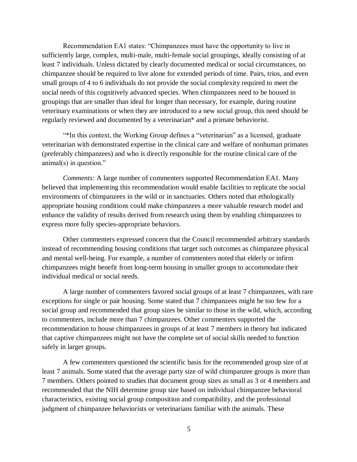Recommendation EA1 states: "Chimpanzees must have the opportunity to live in sufficiently large, complex, multi-male, multi-female social groupings, ideally consisting of at least 7 individuals. Unless dictated by clearly documented medical or social circumstances, no chimpanzee should be required to live alone for extended periods of time. Pairs, trios, and even small groups of 4 to 6 individuals do not provide the social complexity required to meet the social needs of this cognitively advanced species. When chimpanzees need to be housed in groupings that are smaller than ideal for longer than necessary, for example, during routine veterinary examinations or when they are introduced to a new social group, this need should be regularly reviewed and documented by a veterinarian\* and a primate behaviorist.

"\*In this context, the Working Group defines a "veterinarian" as a licensed, graduate veterinarian with demonstrated expertise in the clinical care and welfare of nonhuman primates (preferably chimpanzees) and who is directly responsible for the routine clinical care of the animal(s) in question."

*Comments:* A large number of commenters supported Recommendation EA1. Many believed that implementing this recommendation would enable facilities to replicate the social environments of chimpanzees in the wild or in sanctuaries. Others noted that ethologically appropriate housing conditions could make chimpanzees a more valuable research model and enhance the validity of results derived from research using them by enabling chimpanzees to express more fully species-appropriate behaviors.

Other commenters expressed concern that the Council recommended arbitrary standards instead of recommending housing conditions that target such outcomes as chimpanzee physical and mental well-being. For example, a number of commenters noted that elderly or infirm chimpanzees might benefit from long-term housing in smaller groups to accommodate their individual medical or social needs.

A large number of commenters favored social groups of at least 7 chimpanzees, with rare exceptions for single or pair housing. Some stated that 7 chimpanzees might be too few for a social group and recommended that group sizes be similar to those in the wild, which, according to commenters, include more than 7 chimpanzees. Other commenters supported the recommendation to house chimpanzees in groups of at least 7 members in theory but indicated that captive chimpanzees might not have the complete set of social skills needed to function safely in larger groups.

A few commenters questioned the scientific basis for the recommended group size of at least 7 animals. Some stated that the average party size of wild chimpanzee groups is more than 7 members. Others pointed to studies that document group sizes as small as 3 or 4 members and recommended that the NIH determine group size based on individual chimpanzee behavioral characteristics, existing social group composition and compatibility, and the professional judgment of chimpanzee behaviorists or veterinarians familiar with the animals. These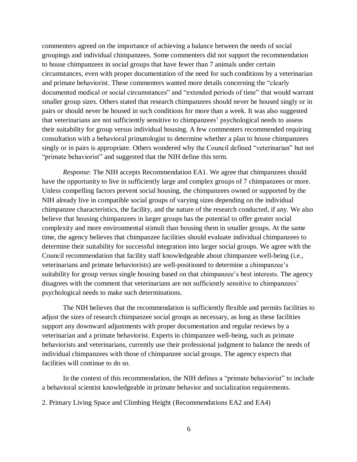commenters agreed on the importance of achieving a balance between the needs of social groupings and individual chimpanzees. Some commenters did not support the recommendation to house chimpanzees in social groups that have fewer than 7 animals under certain circumstances, even with proper documentation of the need for such conditions by a veterinarian and primate behaviorist. These commenters wanted more details concerning the "clearly documented medical or social circumstances" and "extended periods of time" that would warrant smaller group sizes. Others stated that research chimpanzees should never be housed singly or in pairs or should never be housed in such conditions for more than a week. It was also suggested that veterinarians are not sufficiently sensitive to chimpanzees' psychological needs to assess their suitability for group versus individual housing. A few commenters recommended requiring consultation with a behavioral primatologist to determine whether a plan to house chimpanzees singly or in pairs is appropriate. Others wondered why the Council defined "veterinarian" but not "primate behaviorist" and suggested that the NIH define this term.

*Response*: The NIH accepts Recommendation EA1. We agree that chimpanzees should have the opportunity to live in sufficiently large and complex groups of 7 chimpanzees or more. Unless compelling factors prevent social housing, the chimpanzees owned or supported by the NIH already live in compatible social groups of varying sizes depending on the individual chimpanzee characteristics, the facility, and the nature of the research conducted, if any. We also believe that housing chimpanzees in larger groups has the potential to offer greater social complexity and more environmental stimuli than housing them in smaller groups. At the same time, the agency believes that chimpanzee facilities should evaluate individual chimpanzees to determine their suitability for successful integration into larger social groups. We agree with the Council recommendation that facility staff knowledgeable about chimpanzee well-being (i.e., veterinarians and primate behaviorists) are well-positioned to determine a chimpanzee's suitability for group versus single housing based on that chimpanzee's best interests. The agency disagrees with the comment that veterinarians are not sufficiently sensitive to chimpanzees' psychological needs to make such determinations.

The NIH believes that the recommendation is sufficiently flexible and permits facilities to adjust the sizes of research chimpanzee social groups as necessary, as long as these facilities support any downward adjustments with proper documentation and regular reviews by a veterinarian and a primate behaviorist. Experts in chimpanzee well-being, such as primate behaviorists and veterinarians, currently use their professional judgment to balance the needs of individual chimpanzees with those of chimpanzee social groups. The agency expects that facilities will continue to do so.

In the context of this recommendation, the NIH defines a "primate beh aviorist" to include a behavioral scientist knowledgeable in primate behavior and socialization requirements.

2. Primary Living Space and Climbing Height (Recommendations EA2 and EA4)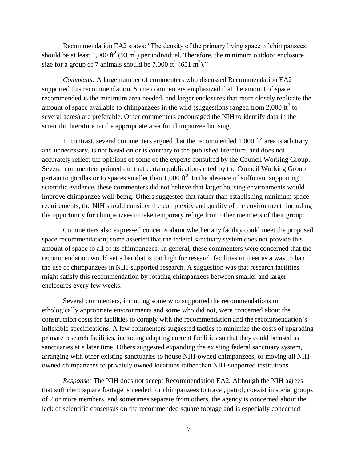Recommendation EA2 states: "The density of the primary living space of chimpanzees should be at least 1,000 ft<sup>2</sup> (93 m<sup>2</sup>) per individual. Therefore, the minimum outdoor enclosure size for a group of 7 animals should be 7,000  $\text{ft}^2$  (651 m<sup>2</sup>)."

*Comments:* A large number of commenters who discussed Recommendation EA2 supported this recommendation. Some commenters emphasized that the amount of space recommended is the minimum area needed, and larger enclosures that more closely replicate the amount of space available to chimpanzees in the wild (suggestions ranged from 2,000  $\text{ft}^2$  to several acres) are preferable. Other commenters encouraged the NIH to identify data in the scientific literature on the appropriate area for chimpanzee housing.

In contrast, several commenters argued that the recommended 1,000  $\text{ft}^2$  area is arbitrary and unnecessary, is not based on or is contrary to the published literature, and does not accurately reflect the opinions of some of the experts consulted by the Council Working Group. Several commenters pointed out that certain publications cited by the Council Working Group pertain to gorillas or to spaces smaller than  $1,000 \text{ ft}^2$ . In the absence of sufficient supporting scientific evidence, these commenters did not believe that larger housing environments would improve chimpanzee well-being. Others suggested that rather than establishing minimum space requirements, the NIH should consider the complexity and quality of the environment, including the opportunity for chimpanzees to take temporary refuge from other members of their group.

Commenters also expressed concerns about whether any facility could meet the proposed space recommendation; some asserted that the federal sanctuary system does not provide this amount of space to all of its chimpanzees. In general, these commenters were concerned that the recommendation would set a bar that is too high for research facilities to meet as a way to ban the use of chimpanzees in NIH-supported research. A suggestion was that research facilities might satisfy this recommendation by rotating chimpanzees between smaller and larger enclosures every few weeks.

Several commenters, including some who supported the recommendations on ethologically appropriate environments and some who did not, were concerned about the construction costs for facilities to comply with the recommendation and the recommendation's inflexible specifications. A few commenters suggested tactics to minimize the costs of upgrading primate research facilities, including adapting current facilities so that they could be used as sanctuaries at a later time. Others suggested expanding the existing federal sanctuary system, arranging with other existing sanctuaries to house NIH-owned chimpanzees, or moving all NIHowned chimpanzees to privately owned locations rather than NIH-supported institutions.

*Response:* The NIH does not accept Recommendation EA2. Although the NIH agrees that sufficient square footage is needed for chimpanzees to travel, patrol, coexist in social groups of 7 or more members, and sometimes separate from others, the agency is concerned about the lack of scientific consensus on the recommended square footage and is especially concerned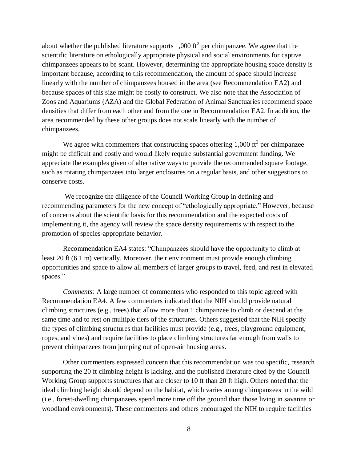about whether the published literature supports 1,000 ft<sup>2</sup> per chimpanzee. We agree that the scientific literature on ethologically appropriate physical and social environments for captive chimpanzees appears to be scant. However, determining the appropriate housing space density is important because, according to this recommendation, the amount of space should increase linearly with the number of chimpanzees housed in the area (see Recommendation EA2) and because spaces of this size might be costly to construct. We also note that the Association of Zoos and Aquariums (AZA) and the Global Federation of Animal Sanctuaries recommend space densities that differ from each other and from the one in Recommendation EA2. In addition, the area recommended by these other groups does not scale linearly with the number of chimpanzees.

We agree with commenters that constructing spaces offering  $1,000 \text{ ft}^2$  per chimpanzee might be difficult and costly and would likely require substantial government funding. We appreciate the examples given of alternative ways to provide the recommended square footage, such as rotating chimpanzees into larger enclosures on a regular basis, and other suggestions to conserve costs.

 We recognize the diligence of the Council Working Group in defining and recommending parameters for the new concept of "ethologically appropriate." However, because of concerns about the scientific basis for this recommendation and the expected costs of implementing it, the agency will review the space density requirements with respect to the promotion of species-appropriate behavior.

Recommendation EA4 states: "Chimpanzees should have the opportunity to climb at least 20 ft (6.1 m) vertically. Moreover, their environment must provide enough climbing opportunities and space to allow all members of larger groups to travel, feed, and rest in elevated spaces."

*Comments:* A large number of commenters who responded to this topic agreed with Recommendation EA4. A few commenters indicated that the NIH should provide natural climbing structures (e.g., trees) that allow more than 1 chimpanzee to climb or descend at the same time and to rest on multiple tiers of the structures. Others suggested that the NIH specify the types of climbing structures that facilities must provide (e.g., trees, playground equipment, ropes, and vines) and require facilities to place climbing structures far enough from walls to prevent chimpanzees from jumping out of open-air housing areas.

Other commenters expressed concern that this recommendation was too specific, research supporting the 20 ft climbing height is lacking, and the published literature cited by the Council Working Group supports structures that are closer to 10 ft than 20 ft high. Others noted that the ideal climbing height should depend on the habitat, which varies among chimpanzees in the wild (i.e., forest-dwelling chimpanzees spend more time off the ground tha n those living in savanna or woodland environments). These commenters and others encouraged the NIH to require facilities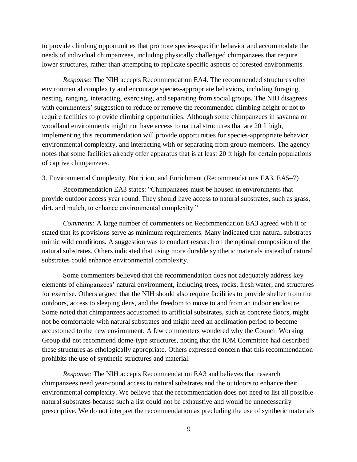to provide climbing opportunities that promote species-specific behavior and accommodate the needs of individual chimpanzees, including physically challenged chimpanzees that require lower structures, rather than attempting to replicate specific aspects of forested environments.

*Response:* The NIH accepts Recommendation EA4. The recommended structures offer environmental complexity and encourage species-appropriate behaviors, including foraging, nesting, ranging, interacting, exercising, and separating from social groups. The NIH disagrees with commenters' suggestion to reduce or remove the recommended climbing height or not to require facilities to provide climbing opportunities. Although some chimpanzees in savanna or woodland environments might not have access to natural structures that are 20 ft high, implementing this recommendation will provide opportunities for species-appropriate behavior, environmental complexity, and interacting with or separating from group members. The agency notes that some facilities already offer apparatus that is at least 20 ft high for certain populations of captive chimpanzees.

## 3. Environmental Complexity, Nutrition, and Enrichment (Recommendations EA3, EA5–7)

Recommendation EA3 states: "Chimpanzees must be housed in environments that provide outdoor access year round. They should have access to natural substrates, such as grass, dirt, and mulch, to enhance environmental complexity."

*Comments:* A large number of commenters on Recommendation EA3 agreed with it or stated that its provisions serve as minimum requirements. Many indicated that natural substrates mimic wild conditions. A suggestion was to conduct research on the optimal composition of the natural substrates. Others indicated that using more durable synthetic materials instead of natural substrates could enhance environmental complexity.

Some commenters believed that the recommendation does not adequately address key elements of chimpanzees' natural environment, including trees, rocks, fresh water, and structures for exercise. Others argued that the NIH should also require facilities to provide shelter from the outdoors, access to sleeping dens, and the freedom to move to and from an indoor enclosure. Some noted that chimpanzees accustomed to artificial substrates, such as concrete floors, might not be comfortable with natural substrates and might need an acclimation period to become accustomed to the new environment. A few commenters wondered why the Council Working Group did not recommend dome-type structures, noting that the IOM Committee had described these structures as ethologically appropriate. Others expressed concern that this recommendation prohibits the use of synthetic structures and material.

*Response:* The NIH accepts Recommendation EA3 and believes that research chimpanzees need year-round access to natural substrates and the outdoors to enhance their environmental complexity. We believe that the recommendation does n ot need to list all possible natural substrates because such a list could not be exhaustive and would be unnecessarily prescriptive. We do not interpret the recommendation as precluding the use of synthetic materials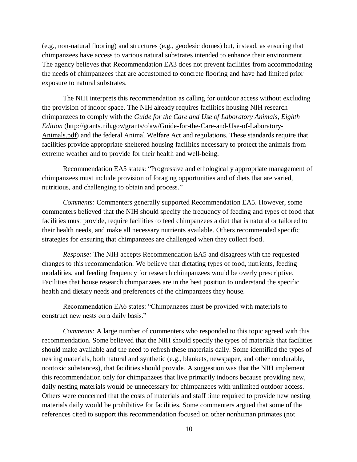(e.g., non-natural flooring) and structures (e.g., geodesic domes) but, instead, as ensuring that chimpanzees have access to various natural substrates intended to enhance their environment. The agency believes that Recommendation EA3 does not prevent facilities from accommodating the needs of chimpanzees that are accustomed to concrete flooring and have had limited prior exposure to natural substrates.

The NIH interprets this recommendation as calling for outdoor access without excluding the provision of indoor space. The NIH already requires facilities housing NIH research chimpanzees to comply with the *Guide for the Care and Use of Laboratory Animals, Eighth Edition* [\(http://grants.nih.gov/grants/olaw/Guide-for-the-Care-and-Use-of-Laboratory-](http://grants.nih.gov/grants/olaw/Guide-for-the-Care-and-Use-of-Laboratory-Animals.pdf)[Animals.pdf\)](http://grants.nih.gov/grants/olaw/Guide-for-the-Care-and-Use-of-Laboratory-Animals.pdf) and the federal Animal Welfare Act and regulations. These standards require that facilities provide appropriate sheltered housing facilities necessary to protect the animals from extreme weather and to provide for their health and well-being.

Recommendation EA5 states: "Progressive and ethologically appropriate management of chimpanzees must include provision of foraging opportunities and of diets that are varied, nutritious, and challenging to obtain and process."

*Comments:* Commenters generally supported Recommendation EA5. However, some commenters believed that the NIH should specify the frequency of feeding and types of food that facilities must provide, require facilities to feed chimpanzees a diet that is natural or tailored to their health needs, and make all necessary nutrients available. Others recommended specific strategies for ensuring that chimpanzees are challenged when they collect food.

*Response:* The NIH accepts Recommendation EA5 and disagrees with the requested changes to this recommendation. We believe that dictating types of food, nutrients, feeding modalities, and feeding frequency for research chimpanzees would be overly prescriptive. Facilities that house research chimpanzees are in the best position to understand the specific health and dietary needs and preferences of the chimpanzees they house.

Recommendation EA6 states: "Chimpanzees must be provided with materials to construct new nests on a daily basis."

*Comments:* A large number of commenters who responded to this topic agreed with this recommendation. Some believed that the NIH should specify the types of materials that facilities should make available and the need to refresh these materials daily. Some identified the types of nesting materials, both natural and synthetic (e.g., blankets, newspaper, and other nondurable, nontoxic substances), that facilities should provide. A suggestion was that the NIH implement this recommendation only for chimpanzees that live primarily indoors because providing new, daily nesting materials would be unnecessary for chimpanzees with unlimited outdoor access. Others were concerned that the costs of materials and staff time required to provide new nesting materials daily would be prohibitive for facilities. Some commenter s argued that some of the references cited to support this recommendation focused on other nonhuman primates (not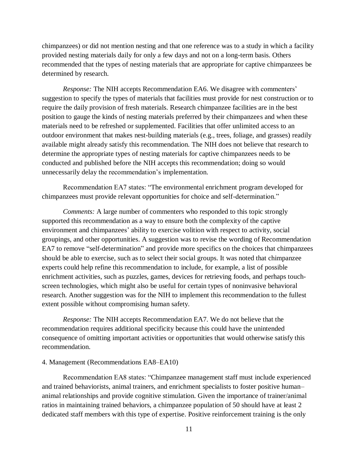chimpanzees) or did not mention nesting and that one reference was to a study in which a facility provided nesting materials daily for only a few days and not on a long-term basis. Others recommended that the types of nesting materials that are appropriate for captive chimpanzees be determined by research.

*Response:* The NIH accepts Recommendation EA6. We disagree with commenters' suggestion to specify the types of materials that facilities must provide for nest construction or to require the daily provision of fresh materials. Research chimpanzee facilities are in the best position to gauge the kinds of nesting materials preferred by their chimpanzees and when these materials need to be refreshed or supplemented. Facilities that offer unlimited access to an outdoor environment that makes nest-building materials (e.g., trees, foliage, and grasses) readily available might already satisfy this recommendation. The NIH does not believe that research to determine the appropriate types of nesting materials for captive chimpanzees needs to be conducted and published before the NIH accepts this recommendation; doing so would unnecessarily delay the recommendation's implementation.

Recommendation EA7 states: "The environmental enrichment program developed for chimpanzees must provide relevant opportunities for choice and self-determination."

*Comments:* A large number of commenters who responded to this topic strongly supported this recommendation as a way to ensure both the complexity of the captive environment and chimpanzees' ability to exercise volition with respect to activity, social groupings, and other opportunities. A suggestion was to revise the wording of Recommendation EA7 to remove "self-determination" and provide more specifics on the choices that chimpanzees should be able to exercise, such as to select their social groups. It was noted that chimpanzee experts could help refine this recommendation to include, for example, a list of possible enrichment activities, such as puzzles, games, devices for retrieving foods, and perhaps touchscreen technologies, which might also be useful for certain types of noninvasive behavioral research. Another suggestion was for the NIH to implement this recommendation to the fullest extent possible without compromising human safety.

*Response:* The NIH accepts Recommendation EA7. We do not believe that the recommendation requires additional specificity because this could have the unintended consequence of omitting important activities or opportunities that would otherwise satisfy this recommendation.

## 4. Management (Recommendations EA8–EA10)

Recommendation EA8 states: "Chimpanzee management staff must include experienced and trained behaviorists, animal trainers, and enrichment specialists to foster positive human– animal relationships and provide cognitive stimulation. Given the importance of trainer/animal ratios in maintaining trained behaviors, a chimpanzee populatio n of 50 should have at least 2 dedicated staff members with this type of expertise. Positive reinforcement training is the only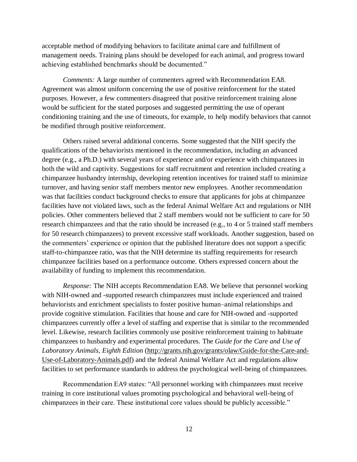acceptable method of modifying behaviors to facilitate animal care and fulfillment of management needs. Training plans should be developed for each animal, and progress toward achieving established benchmarks should be documented."

*Comments:* A large number of commenters agreed with Recommendation EA8. Agreement was almost uniform concerning the use of positive reinforcement for the stated purposes. However, a few commenters disagreed that positive reinforcement training alone would be sufficient for the stated purposes and suggested permitting the use of operant conditioning training and the use of timeouts, for example, to help modify behaviors that cannot be modified through positive reinforcement.

Others raised several additional concerns. Some suggested that the NIH specify the qualifications of the behaviorists mentioned in the recommendation, including an advanced degree (e.g., a Ph.D.) with several years of experience and/or experience with chimpanzees in both the wild and captivity. Suggestions for staff recruitment and retention included creating a chimpanzee husbandry internship, developing retention incentives for trained staff to minimize turnover, and having senior staff members mentor new employees. Another recommendation was that facilities conduct background checks to ensure that applicants for jobs at chimpanzee facilities have not violated laws, such as the federal Animal Welfare Act and regulations or NIH policies. Other commenters believed that 2 staff members would not be sufficient to care for 50 research chimpanzees and that the ratio should be increased (e.g., to 4 or 5 trained staff members for 50 research chimpanzees) to prevent excessive staff workloads. Another suggestion, based on the commenters' experience or opinion that the published literature does not support a specific staff-to-chimpanzee ratio, was that the NIH determine its staffing requirements for research chimpanzee facilities based on a performance outcome. Others expressed concern about the availability of funding to implement this recommendation.

*Response:* The NIH accepts Recommendation EA8. We believe that personnel working with NIH-owned and -supported research chimpanzees must include experienced and trained behaviorists and enrichment specialists to foster positive human–animal relationships and provide cognitive stimulation. Facilities that house and care for NIH-owned and -supported chimpanzees currently offer a level of staffing and expertise that is similar to the recommended level. Likewise, research facilities commonly use positive reinforcement training to habituate chimpanzees to husbandry and experimental procedures. The *Guide for the Care and Use of Laboratory Animals, Eighth Edition* [\(http://grants.nih.gov/grants/olaw/Guide-for-the-Care-and-](http://grants.nih.gov/grants/olaw/Guide-for-the-Care-and-Use-of-Laboratory-Animals.pdf)[Use-of-Laboratory-Animals.pdf\)](http://grants.nih.gov/grants/olaw/Guide-for-the-Care-and-Use-of-Laboratory-Animals.pdf) and the federal Animal Welfare Act and regulations allow facilities to set performance standards to address the psychological well-being of chimpanzees.

Recommendation EA9 states: "All personnel working with chimpanzees must receive training in core institutional values promoting psychological and be havioral well-being of chimpanzees in their care. These institutional core values should be publicly accessible."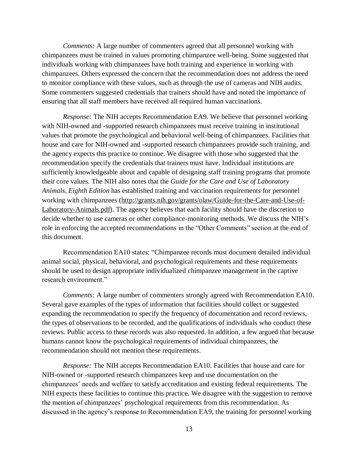*Comments:* A large number of commenters agreed that all personnel working with chimpanzees must be trained in values promoting chimpanzee well-being. Some suggested that individuals working with chimpanzees have both training and experience in working with chimpanzees. Others expressed the concern that the recommendation does not address the need to monitor compliance with these values, such as through the use of cameras and NIH audits. Some commenters suggested credentials that trainers should have and noted the importance of ensuring that all staff members have received all required human vaccinations.

*Response:* The NIH accepts Recommendation EA9. We believe that personnel working with NIH-owned and -supported research chimpanzees must receive training in institutional values that promote the psychological and behavioral well-being of chimpanzees. Facilities that house and care for NIH-owned and -supported research chimpanzees provide such training, and the agency expects this practice to continue. We disagree with those who suggested that the recommendation specify the credentials that trainers must have. Individual institutions are sufficiently knowledgeable about and capable of designing staff training programs that promote their core values. The NIH also notes that the *Guide for the Care and Use of Laboratory Animals, Eighth Edition* has established training and vaccination requirements for personnel working with chimpanzees [\(http://grants.nih.gov/grants/olaw/Guide-for-the-Care-and-Use-of-](http://grants.nih.gov/grants/olaw/Guide-for-the-Care-and-Use-of-Laboratory-Animals.pdf)[Laboratory-Animals.pdf\)](http://grants.nih.gov/grants/olaw/Guide-for-the-Care-and-Use-of-Laboratory-Animals.pdf). The agency believes that each facility should have the discretion to decide whether to use cameras or other compliance-monitoring methods. We discuss the NIH's role in enforcing the accepted recommendations in the "Other Comments" section at the end of this document.

Recommendation EA10 states: "Chimpanzee records must document detailed individual animal social, physical, behavioral, and psychological requirements and these requirements should be used to design appropriate individualized chimpanzee management in the captive research environment."

*Comments:* A large number of commenters strongly agreed with Recommendation EA10. Several gave examples of the types of information that facilities should collect or suggested expanding the recommendation to specify the frequency of documentation and record reviews, the types of observations to be recorded, and the qualifications of individuals who conduct these reviews. Public access to these records was also requested. In addition, a few argued that because humans cannot know the psychological requirements of individual chimpanzees, the recommendation should not mention these requirements.

*Response:* The NIH accepts Recommendation EA10. Facilities that house and care for NIH-owned or -supported research chimpanzees keep and use documentation on the chimpanzees' needs and welfare to satisfy accreditation and existing federal requirements. The NIH expects these facilities to continue this practice. We disagree with the suggestion to remove the mention of chimpanzees' psychological requirements from this r ecommendation. As discussed in the agency's response to Recommendation EA9, the training for personnel working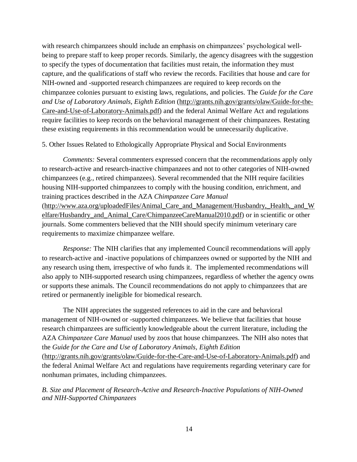with research chimpanzees should include an emphasis on chimpanzees' psychological wellbeing to prepare staff to keep proper records. Similarly, the agency disagrees with the suggestion to specify the types of documentation that facilities must retain, the information they must capture, and the qualifications of staff who review the records. Facilities that house and care for NIH-owned and -supported research chimpanzees are required to keep records on the chimpanzee colonies pursuant to existing laws, regulations, and policies. The *Guide for the Care and Use of Laboratory Animals, Eighth Edition* [\(http://grants.nih.gov/grants/olaw/Guide-for-the-](http://grants.nih.gov/grants/olaw/Guide-for-the-Care-and-Use-of-Laboratory-Animals.pdf)[Care-and-Use-of-Laboratory-Animals.pdf\)](http://grants.nih.gov/grants/olaw/Guide-for-the-Care-and-Use-of-Laboratory-Animals.pdf) and the federal Animal Welfare Act and regulations require facilities to keep records on the behavioral management of their chimpanzees. Restating these existing requirements in this recommendation would be unnecessarily duplicative.

## 5. Other Issues Related to Ethologically Appropriate Physical and Social Environments

*Comments:* Several commenters expressed concern that the recommendations apply only to research-active and research-inactive chimpanzees and not to other categories of NIH-owned chimpanzees (e.g., retired chimpanzees). Several recommended that the NIH require facilities housing NIH-supported chimpanzees to comply with the housing condition, enrichment, and training practices described in the AZA *Chimpanzee Care Manual* [\(http://www.aza.org/uploadedFiles/Animal\\_Care\\_and\\_Management/Husbandry,\\_Health,\\_and\\_W](http://www.aza.org/uploadedFiles/Animal_Care_and_Management/Husbandry,_Health,_and_Welfare/Husbandry_and_Animal_Care/ChimpanzeeCareManual2010.pdf) elfare/Husbandry and Animal Care/ChimpanzeeCareManual2010.pdf) or in scientific or other journals. Some commenters believed that the NIH should specify minimum veterinary care requirements to maximize chimpanzee welfare.

*Response:* The NIH clarifies that any implemented Council recommendations will apply to research-active and -inactive populations of chimpanzees owned or supported by the NIH and any research using them, irrespective of who funds it. The implemented recommendations will also apply to NIH-supported research using chimpanzees, regardless of whether the agency owns or supports these animals. The Council recommendations do not apply to chimpanzees that are retired or permanently ineligible for biomedical research.

The NIH appreciates the suggested references to aid in the care and behavioral management of NIH-owned or -supported chimpanzees. We believe that facilities that house research chimpanzees are sufficiently knowledgeable about the current literature, including the AZA *Chimpanzee Care Manual* used by zoos that house chimpanzees. The NIH also notes that the *Guide for the Care and Use of Laboratory Animals, Eighth Edition*

[\(http://grants.nih.gov/grants/olaw/Guide-for-the-Care-and-Use-of-Laboratory-Animals.pdf\)](http://grants.nih.gov/grants/olaw/Guide-for-the-Care-and-Use-of-Laboratory-Animals.pdf) and the federal Animal Welfare Act and regulations have requirements regarding veterinary care for nonhuman primates, including chimpanzees.

*B. Size and Placement of Research-Active and Research-Inactive Po pulations of NIH-Owned NIH-Supported Chimpanzees and*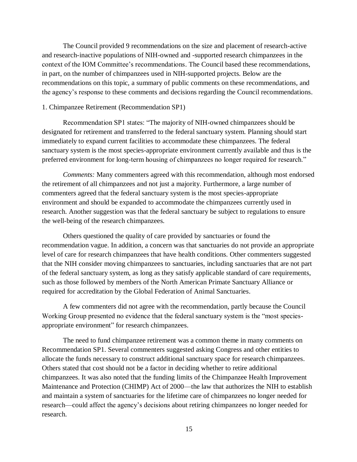The Council provided 9 recommendations on the size and placement of research-active and research-inactive populations of NIH-owned and -supported research chimpanzees in the context of the IOM Committee's recommendations. The Council based these recommendations, in part, on the number of chimpanzees used in NIH-supported projects. Below are the recommendations on this topic, a summary of public comments on these recommendations, and the agency's response to these comments and decisions regarding the Council recommendations.

## 1. Chimpanzee Retirement (Recommendation SP1)

Recommendation SP1 states: "The majority of NIH-owned chimpanzees should be designated for retirement and transferred to the federal sanctuary system. Planning should start immediately to expand current facilities to accommodate these chimpanzees. The federal sanctuary system is the most species-appropriate environment currently available and thus is the preferred environment for long-term housing of chimpanzees no longer required for research."

*Comments:* Many commenters agreed with this recommendation, although most endorsed the retirement of all chimpanzees and not just a majority. Furthermore, a large number of commenters agreed that the federal sanctuary system is the most species-appropriate environment and should be expanded to accommodate the chimpanzees currently used in research. Another suggestion was that the federal sanctuary be subject to regulations to ensure the well-being of the research chimpanzees.

Others questioned the quality of care provided by sanctuaries or found the recommendation vague. In addition, a concern was that sanctuaries do not provide an appropriate level of care for research chimpanzees that have health conditions. Other commenters suggested that the NIH consider moving chimpanzees to sanctuaries, including sanctuaries that are not part of the federal sanctuary system, as long as they satisfy applicable standard of care requirements, such as those followed by members of the North American Primate Sanctuary Alliance or required for accreditation by the Global Federation of Animal Sanctuaries.

A few commenters did not agree with the recommendation, partly because the Council Working Group presented no evidence that the federal sanctuary system is the "most speciesappropriate environment" for research chimpanzees.

The need to fund chimpanzee retirement was a common theme in many comments on Recommendation SP1. Several commenters suggested asking Congress and other entities to allocate the funds necessary to construct additional sanctuary space for research chimpanzees. Others stated that cost should not be a factor in deciding whether to retire additional chimpanzees. It was also noted that the funding limits of the Chimpanzee Health Improvement Maintenance and Protection (CHIMP) Act of 2000—the law that authorizes the NIH to establish and maintain a system of sanctuaries for the lifetime care of chimpanzee s no longer needed for research—could affect the agency's decisions about retiring chimpanzees no longer needed for research.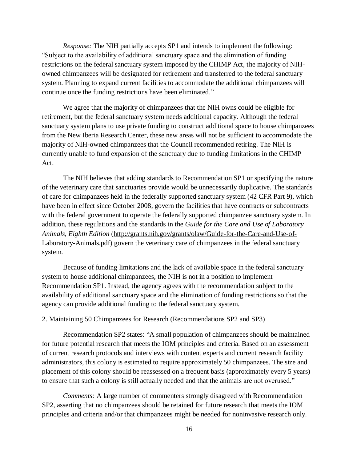*Response:* The NIH partially accepts SP1 and intends to implement the following: "Subject to the availability of additional sanctuary space and the elimination of funding restrictions on the federal sanctuary system imposed by the CHIMP Act, the majority of NIHowned chimpanzees will be designated for retirement and transferred to the federal sanctuary system. Planning to expand current facilities to accommodate the additional chimpanzees will continue once the funding restrictions have been eliminated."

We agree that the majority of chimpanzees that the NIH owns could be eligible for retirement, but the federal sanctuary system needs additional capacity. Although the federal sanctuary system plans to use private funding to construct additional space to house chimpanzees from the New Iberia Research Center, these new areas will not be sufficient to accommodate the majority of NIH-owned chimpanzees that the Council recommended retiring. The NIH is currently unable to fund expansion of the sanctuary due to funding limitations in the CHIMP Act.

The NIH believes that adding standards to Recommendation SP1 or specifying the nature of the veterinary care that sanctuaries provide would be unnecessarily duplicative. The standards of care for chimpanzees held in the federally supported sanctuary system (42 CFR Part 9), which have been in effect since October 2008, govern the facilities that have contracts or subcontracts with the federal government to operate the federally supported chimpanzee sanctuary system. In addition, these regulations and the standards in the *Guide for the Care and Use of Laboratory Animals, Eighth Edition* [\(http://grants.nih.gov/grants/olaw/Guide-for-the-Care-and-Use-of-](http://grants.nih.gov/grants/olaw/Guide-for-the-Care-and-Use-of-Laboratory-Animals.pdf)[Laboratory-Animals.pdf\)](http://grants.nih.gov/grants/olaw/Guide-for-the-Care-and-Use-of-Laboratory-Animals.pdf) govern the veterinary care of chimpanzees in the federal sanctuary system.

Because of funding limitations and the lack of available space in the federal sanctuary system to house additional chimpanzees, the NIH is not in a position to implement Recommendation SP1. Instead, the agency agrees with the recommendation subject to the availability of additional sanctuary space and the elimination of funding restrictions so that the agency can provide additional funding to the federal sanctuary system.

## 2. Maintaining 50 Chimpanzees for Research (Recommendations SP2 and SP3)

Recommendation SP2 states: "A small population of chimpanzees should be maintained for future potential research that meets the IOM principles and criteria. Based on an assessment of current research protocols and interviews with content experts and current research facility administrators, this colony is estimated to require approximately 50 chimpanzees. The size and placement of this colony should be reassessed on a frequent basis (approximately every 5 years) to ensure that such a colony is still actually needed and that the animals are not overused."

*Comments:* A large number of commenters strongly disagreed with Recommendation SP2, asserting that no chimpanzees should be retained for future research that meets the IOM principles and criteria and/or that chimpanzees might be needed for noninvasive research only.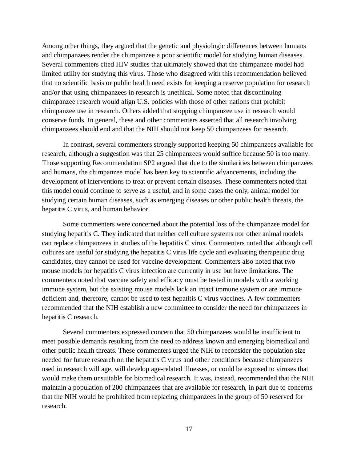Among other things, they argued that the genetic and physiologic differences between humans and chimpanzees render the chimpanzee a poor scientific model for studying human diseases. Several commenters cited HIV studies that ultimately showed that the chimpanzee model had limited utility for studying this virus. Those who disagreed with this recommendation believed that no scientific basis or public health need exists for keeping a reserve population for research and/or that using chimpanzees in research is unethical. Some noted that discontinuing chimpanzee research would align U.S. policies with those of other nations that prohibit chimpanzee use in research. Others added that stopping chimpanzee use in research would conserve funds. In general, these and other commenters asserted that all research involving chimpanzees should end and that the NIH should not keep 50 chimpanzees for research.

In contrast, several commenters strongly supported keeping 50 chimpanzees available for research, although a suggestion was that 25 chimpanzees would suffice because 50 is too many. Those supporting Recommendation SP2 argued that due to the similarities between chimpanzees and humans, the chimpanzee model has been key to scientific advancements, including the development of interventions to treat or prevent certain diseases. These commenters noted that this model could continue to serve as a useful, and in some cases the only, animal model for studying certain human diseases, such as emerging diseases or other public health threats, the hepatitis C virus, and human behavior.

Some commenters were concerned about the potential loss of the chimpanzee model for studying hepatitis C. They indicated that neither cell culture systems nor other animal models can replace chimpanzees in studies of the hepatitis C virus. Commenters noted that although cell cultures are useful for studying the hepatitis C virus life cycle and evaluating therapeutic drug candidates, they cannot be used for vaccine development. Commenters also noted that two mouse models for hepatitis C virus infection are currently in use but have limitations. The commenters noted that vaccine safety and efficacy must be tested in models with a working immune system, but the existing mouse models lack an intact immune system or are immune deficient and, therefore, cannot be used to test hepatitis C virus vaccines. A few commenters recommended that the NIH establish a new committee to consider the need for chimpanzees in hepatitis C research.

Several commenters expressed concern that 50 chimpanzees would be insufficient to meet possible demands resulting from the need to address known and emerging biomedical and other public health threats. These commenters urged the NIH to reconsider the population size needed for future research on the hepatitis C virus and other conditions because chimpanzees used in research will age, will develop age-related illnesses, or could be exposed to viruses that would make them unsuitable for biomedical research. It was, instead, recommended that the NIH maintain a population of 200 chimpanzees that are available for research, in part due to concerns that the NIH would be prohibited from replacing chimpanzees in the group of 50 reserved for research.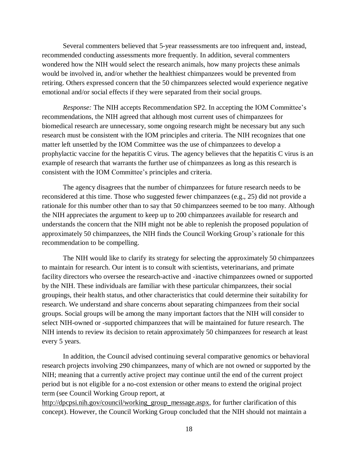Several commenters believed that 5-year reassessments are too infrequent and, instead, recommended conducting assessments more frequently. In addition, several commenters wondered how the NIH would select the research animals, how many projects these animals would be involved in, and/or whether the healthiest chimpanzees would be prevented from retiring. Others expressed concern that the 50 chimpanzees selected would experience negative emotional and/or social effects if they were separated from their social groups.

*Response:* The NIH accepts Recommendation SP2. In accepting the IOM Committee's recommendations, the NIH agreed that although most current uses of chimpanzees for biomedical research are unnecessary, some ongoing research might be necessary but any such research must be consistent with the IOM principles and criteria. The NIH recognizes that one matter left unsettled by the IOM Committee was the use of chimpanzees to develop a prophylactic vaccine for the hepatitis C virus. The agency believes that the hepatitis C virus is an example of research that warrants the further use of chimpanzees as long as this research is consistent with the IOM Committee's principles and criteria.

The agency disagrees that the number of chimpanzees for future research needs to be reconsidered at this time. Those who suggested fewer chimpanzees (e.g., 25) did not provide a rationale for this number other than to say that 50 chimpanzees seemed to be too many. Although the NIH appreciates the argument to keep up to 200 chimpanzees available for research and understands the concern that the NIH might not be able to replenish the proposed population of approximately 50 chimpanzees, the NIH finds the Council Working Group's rationale for this recommendation to be compelling.

The NIH would like to clarify its strategy for selecting the approximately 50 chimpanzees to maintain for research. Our intent is to consult with scientists, veterinarians, and primate facility directors who oversee the research-active and -inactive chimpanzees owned or supported by the NIH. These individuals are familiar with these particular chimpanzees, their social groupings, their health status, and other characteristics that could determine their suitability for research. We understand and share concerns about separating chimpanzees from their social groups. Social groups will be among the many important factors that the NIH will consider to select NIH-owned or -supported chimpanzees that will be maintained for future research. The NIH intends to review its decision to retain approximately 50 chimpanzees for research at least every 5 years.

In addition, the Council advised continuing several comparative genomics or behavioral research projects involving 290 chimpanzees, many of which are not owned or supported by the NIH; meaning that a currently active project may continue until the end of the current project period but is not eligible for a no-cost extension or other means to extend the original project term (see Council Working Group report, at

[http://dpcpsi.nih.gov/council/working\\_group\\_message.aspx,](http://dpcpsi.nih.gov/council/working_group_message.aspx) for further clarification of this concept). However, the Council Working Group concluded that the NIH should not maintain a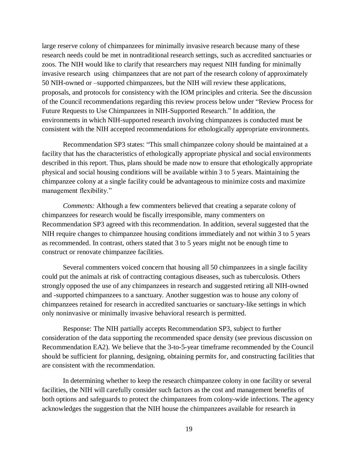large reserve colony of chimpanzees for minimally invasive research because many of these research needs could be met in nontraditional research settings, such as accredited sanctuaries or zoos. The NIH would like to clarify that researchers may request NIH funding for minimally invasive research using chimpanzees that are not part of the research colony of approximately 50 NIH-owned or –supported chimpanzees, but the NIH will review these applications, proposals, and protocols for consistency with the IOM principles and criteria. See the discussion of the Council recommendations regarding this review process below under "Review Process for Future Requests to Use Chimpanzees in NIH-Supported Research." In addition, the environments in which NIH-supported research involving chimpanzees is conducted must be consistent with the NIH accepted recommendations for ethologically appropriate environments.

Recommendation SP3 states: "This small chimpanzee colony should be maintained at a facility that has the characteristics of ethologically appropriate physical and social environments described in this report. Thus, plans should be made now to ensure that ethologically appropriate physical and social housing conditions will be available within 3 to 5 years. Maintaining the chimpanzee colony at a single facility could be advantageous to minimize costs and maximize management flexibility."

*Comments:* Although a few commenters believed that creating a separate colony of chimpanzees for research would be fiscally irresponsible, many commenters on Recommendation SP3 agreed with this recommendation. In addition, several suggested that the NIH require changes to chimpanzee housing conditions immediately and not within 3 to 5 years as recommended. In contrast, others stated that 3 to 5 years might not be enough time to construct or renovate chimpanzee facilities.

Several commenters voiced concern that housing all 50 chimpanzees in a single facility could put the animals at risk of contracting contagious diseases, such as tuberculosis. Others strongly opposed the use of any chimpanzees in research and suggested retiring all NIH-owned and -supported chimpanzees to a sanctuary. Another suggestion was to house any colony of chimpanzees retained for research in accredited sanctuaries or sanctuary-like settings in which only noninvasive or minimally invasive behavioral research is permitted.

Response: The NIH partially accepts Recommendation SP3, subject to further consideration of the data supporting the recommended space density (see previous discussion on Recommendation EA2). We believe that the 3-to-5-year timeframe recommended by the Council should be sufficient for planning, designing, obtaining permits for, and constructing facilities that are consistent with the recommendation.

In determining whether to keep the research chimpanzee colony in one facility or several facilities, the NIH will carefully consider such factors as the cost and management benefits of both options and safeguards to protect the chimpanzees from colony-wide infections. The agency acknowledges the suggestion that the NIH house the chimpanze es available for research in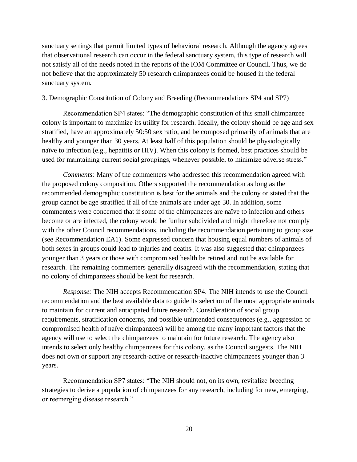sanctuary settings that permit limited types of behavioral research. Although the agency agrees that observational research can occur in the federal sanctuary system, this type of research will not satisfy all of the needs noted in the reports of the IOM Committee or Council. Thus, we do not believe that the approximately 50 research chimpanzees could be housed in the federal sanctuary system.

## 3. Demographic Constitution of Colony and Breeding (Recommendations SP4 and SP7)

Recommendation SP4 states: "The demographic constitution of this small chimpanzee colony is important to maximize its utility for research. Ideally, the colony should be age and sex stratified, have an approximately 50:50 sex ratio, and be composed primarily of animals that are healthy and younger than 30 years. At least half of this population should be physiologically naïve to infection (e.g., hepatitis or HIV). When this colony is formed, best practices should be used for maintaining current social groupings, whenever possible, to minimize adverse stress."

*Comments:* Many of the commenters who addressed this recommendation agreed with the proposed colony composition. Others supported the recommendation as long as the recommended demographic constitution is best for the animals and the colony or stated that the group cannot be age stratified if all of the animals are under age 30. In addition, some commenters were concerned that if some of the chimpanzees are naïve to infection and others become or are infected, the colony would be further subdivided and might therefore not comply with the other Council recommendations, including the recommendation pertaining to group size (see Recommendation EA1). Some expressed concern that housing equal numbers of animals of both sexes in groups could lead to injuries and deaths. It was also suggested that chimpanzees younger than 3 years or those with compromised health be retired and not be available for research. The remaining commenters generally disagreed with the recommendation, stating that no colony of chimpanzees should be kept for research.

*Response:* The NIH accepts Recommendation SP4. The NIH intends to use the Council recommendation and the best available data to guide its selection of the most appropriate animals to maintain for current and anticipated future research. Consideration of social group requirements, stratification concerns, and possible unintended consequences (e.g., aggression or compromised health of naïve chimpanzees) will be among the many important factors that the agency will use to select the chimpanzees to maintain for future research. The agency also intends to select only healthy chimpanzees for this colony, as the Council suggests. The NIH does not own or support any research-active or research-inactive chimpanzees younger than 3 years.

Recommendation SP7 states: "The NIH should not, on its o wn, revitalize breeding strategies to derive a population of chimpanzees for any research, including for new, emerging, or reemerging disease research."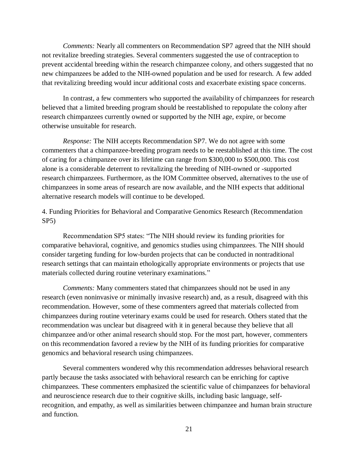*Comments:* Nearly all commenters on Recommendation SP7 agreed that the NIH should not revitalize breeding strategies. Several commenters suggested the use of contraception to prevent accidental breeding within the research chimpanzee colony, and others suggested that no new chimpanzees be added to the NIH-owned population and be used for research. A few added that revitalizing breeding would incur additional costs and exacerbate existing space concerns.

In contrast, a few commenters who supported the availability of chimpanzees for research believed that a limited breeding program should be reestablished to repopulate the colony after research chimpanzees currently owned or supported by the NIH age, expire, or become otherwise unsuitable for research.

*Response:* The NIH accepts Recommendation SP7. We do not agree with some commenters that a chimpanzee-breeding program needs to be reestablished at this time. The cost of caring for a chimpanzee over its lifetime can range from \$300,000 to \$500,000. This cost alone is a considerable deterrent to revitalizing the breeding of NIH-owned or -supported research chimpanzees. Furthermore, as the IOM Committee observed, alternatives to the use of chimpanzees in some areas of research are now available, and the NIH expects that additional alternative research models will continue to be developed.

4. Funding Priorities for Behavioral and Comparative Genomics Research (Recommendation SP5)

Recommendation SP5 states: "The NIH should review its funding priorities for comparative behavioral, cognitive, and genomics studies using chimpanzees. The NIH should consider targeting funding for low-burden projects that can be conducted in nontraditional research settings that can maintain ethologically appropriate environments or projects that use materials collected during routine veterinary examinations."

*Comments:* Many commenters stated that chimpanzees should not be used in any research (even noninvasive or minimally invasive research) and, as a result, disagreed with this recommendation. However, some of these commenters agreed that materials collected from chimpanzees during routine veterinary exams could be used for research. Others stated that the recommendation was unclear but disagreed with it in general because they believe that all chimpanzee and/or other animal research should stop. For the most part, however, commenters on this recommendation favored a review by the NIH of its funding priorities for comparative genomics and behavioral research using chimpanzees.

Several commenters wondered why this recommendation addresses behavioral research partly because the tasks associated with behavioral research can be enriching for captive chimpanzees. These commenters emphasized the scientific value of chimpanzees for behavioral and neuroscience research due to their cognitive skills, including ba sic language, selfrecognition, and empathy, as well as similarities between chimpanzee and human brain structure and function.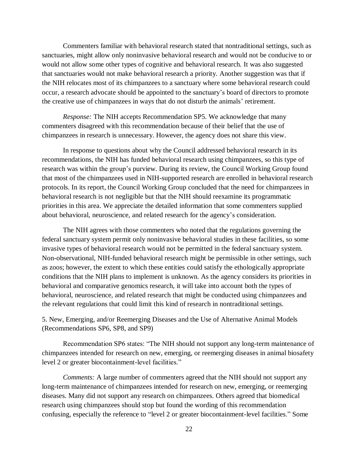Commenters familiar with behavioral research stated that nontraditional settings, such as sanctuaries, might allow only noninvasive behavioral research and would not be conducive to or would not allow some other types of cognitive and behavioral research. It was also suggested that sanctuaries would not make behavioral research a priority. Another suggestion was that if the NIH relocates most of its chimpanzees to a sanctuary where some behavioral research could occur, a research advocate should be appointed to the sanctuary's board of directors to promote the creative use of chimpanzees in ways that do not disturb the animals' retirement.

*Response:* The NIH accepts Recommendation SP5. We acknowledge that many commenters disagreed with this recommendation because of their belief that the use of chimpanzees in research is unnecessary. However, the agency does not share this view.

In response to questions about why the Council addressed behavioral research in its recommendations, the NIH has funded behavioral research using chimpanzees, so this type of research was within the group's purview. During its review, the Council Working Group found that most of the chimpanzees used in NIH-supported research are enrolled in behavioral research protocols. In its report, the Council Working Group concluded that the need for chimpanzees in behavioral research is not negligible but that the NIH should reexamine its programmatic priorities in this area. We appreciate the detailed information that some commenters supplied about behavioral, neuroscience, and related research for the agency's consideration.

The NIH agrees with those commenters who noted that the regulations governing the federal sanctuary system permit only noninvasive behavioral studies in these facilities, so some invasive types of behavioral research would not be permitted in the federal sanctuary system. Non-observational, NIH-funded behavioral research might be permissible in other settings, such as zoos; however, the extent to which these entities could satisfy the ethologically appropriate conditions that the NIH plans to implement is unknown. As the agency considers its priorities in behavioral and comparative genomics research, it will take into account both the types of behavioral, neuroscience, and related research that might be conducted using chimpanzees and the relevant regulations that could limit this kind of research in nontraditional settings.

5. New, Emerging, and/or Reemerging Diseases and the Use of Alternative Animal Models (Recommendations SP6, SP8, and SP9)

Recommendation SP6 states: "The NIH should not support any long-term maintenance of chimpanzees intended for research on new, emerging, or reemerging diseases in animal biosafety level 2 or greater biocontainment-level facilities."

*Comments:* A large number of commenters agreed that the NIH should not support any long-term maintenance of chimpanzees intended for research on new, emerging, or reemerging diseases. Many did not support any research on chimpanzees. Others agreed that biomedical research using chimpanzees should stop but found the wording of t his recommendation confusing, especially the reference to "level 2 or greater biocontainment-level facilities." Some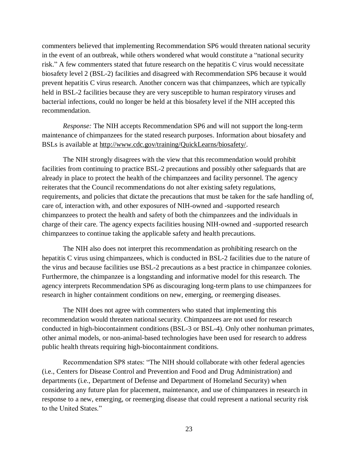commenters believed that implementing Recommendation SP6 would threaten national security in the event of an outbreak, while others wondered what would constitute a "national security risk." A few commenters stated that future research on the hepatitis C virus would necessitate biosafety level 2 (BSL-2) facilities and disagreed with Recommendation SP6 because it would prevent hepatitis C virus research. Another concern was that chimpanzees, which are typically held in BSL-2 facilities because they are very susceptible to human respiratory viruses and bacterial infections, could no longer be held at this biosafety level if the NIH accepted this recommendation.

*Response:* The NIH accepts Recommendation SP6 and will not support the long-term maintenance of chimpanzees for the stated research purposes. Information about biosafety and BSLs is available at [http://www.cdc.gov/training/QuickLearns/biosafety/.](http://www.cdc.gov/training/QuickLearns/biosafety/)

The NIH strongly disagrees with the view that this recommendation would prohibit facilities from continuing to practice BSL-2 precautions and possibly other safeguards that are already in place to protect the health of the chimpanzees and facility personnel. The agency reiterates that the Council recommendations do not alter existing safety regulations, requirements, and policies that dictate the precautions that must be taken for the safe handling of, care of, interaction with, and other exposures of NIH-owned and -supported research chimpanzees to protect the health and safety of both the chimpanzees and the individuals in charge of their care. The agency expects facilities housing NIH-owned and -supported research chimpanzees to continue taking the applicable safety and health precautions.

The NIH also does not interpret this recommendation as prohibiting research on the hepatitis C virus using chimpanzees, which is conducted in BSL-2 facilities due to the nature of the virus and because facilities use BSL-2 precautions as a best practice in chimpanzee colonies. Furthermore, the chimpanzee is a longstanding and informative model for this research. The agency interprets Recommendation SP6 as discouraging long-term plans to use chimpanzees for research in higher containment conditions on new, emerging, or reemerging diseases.

The NIH does not agree with commenters who stated that implementing this recommendation would threaten national security. Chimpanzees are not used for research conducted in high-biocontainment conditions (BSL-3 or BSL-4). Only other nonhuman primates, other animal models, or non-animal-based technologies have been used for research to address public health threats requiring high-biocontainment conditions.

Recommendation SP8 states: "The NIH should collaborate with other federal agencies (i.e., Centers for Disease Control and Prevention and Food and Drug Administration) and departments (i.e., Department of Defense and Department of Homeland Security) when considering any future plan for placement, maintenance, and use of ch impanzees in research in response to a new, emerging, or reemerging disease that could represent a national security risk to the United States."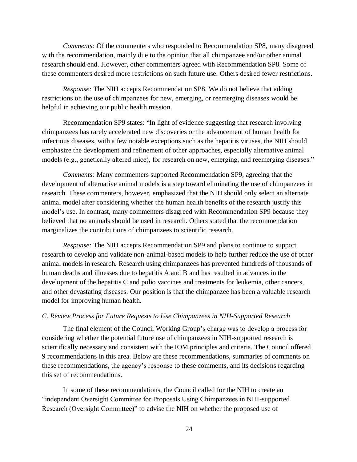*Comments:* Of the commenters who responded to Recommendation SP8, many disagreed with the recommendation, mainly due to the opinion that all chimpanzee and/or other animal research should end. However, other commenters agreed with Recommendation SP8. Some of these commenters desired more restrictions on such future use. Others desired fewer restrictions.

*Response:* The NIH accepts Recommendation SP8. We do not believe that adding restrictions on the use of chimpanzees for new, emerging, or reemerging diseases would be helpful in achieving our public health mission.

Recommendation SP9 states: "In light of evidence suggesting that research involving chimpanzees has rarely accelerated new discoveries or the advancement of human health for infectious diseases, with a few notable exceptions such as the hepatitis viruses, the NIH should emphasize the development and refinement of other approaches, especially alternative animal models (e.g., genetically altered mice), for research on new, emerging, and reemerging diseases."

*Comments:* Many commenters supported Recommendation SP9, agreeing that the development of alternative animal models is a step toward eliminating the use of chimpanzees in research. These commenters, however, emphasized that the NIH should only select an alternate animal model after considering whether the human health benefits of the research justify this model's use. In contrast, many commenters disagreed with Recommendation SP9 because they believed that no animals should be used in research. Others stated that the recommendation marginalizes the contributions of chimpanzees to scientific research.

*Response:* The NIH accepts Recommendation SP9 and plans to continue to support research to develop and validate non-animal-based models to help further reduce the use of other animal models in research. Research using chimpanzees has prevented hundreds of thousands of human deaths and illnesses due to hepatitis A and B and has resulted in advances in the development of the hepatitis C and polio vaccines and treatments for leukemia, other cancers, and other devastating diseases. Our position is that the chimpanzee has been a valuable research model for improving human health.

#### *C. Review Process for Future Requests to Use Chimpanzees in NIH-Supported Research*

The final element of the Council Working Group's charge was to develop a process for considering whether the potential future use of chimpanzees in NIH-supported research is scientifically necessary and consistent with the IOM principles and criteria. The Council offered 9 recommendations in this area. Below are these recommendations, summaries of comments on these recommendations, the agency's response to these comments, and its decisions regarding this set of recommendations.

In some of these recommendations, the Council called for the NIH to create an "independent Oversight Committee for Proposals Using Chimpanz ees in NIH-supported Research (Oversight Committee)" to advise the NIH on whether the proposed use of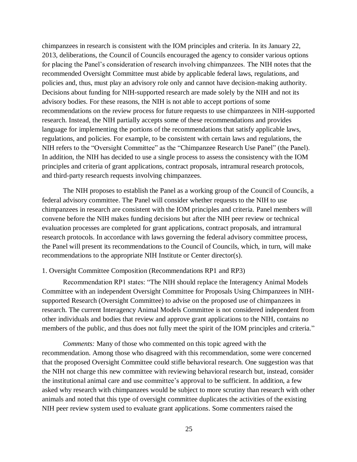chimpanzees in research is consistent with the IOM principles and criteria. In its January 22, 2013, deliberations, the Council of Councils encouraged the agency to consider various options for placing the Panel's consideration of research involving chimpanzees. The NIH notes that the recommended Oversight Committee must abide by applicable federal laws, regulations, and policies and, thus, must play an advisory role only and cannot have decision-making authority. Decisions about funding for NIH-supported research are made solely by the NIH and not its advisory bodies. For these reasons, the NIH is not able to accept portions of some recommendations on the review process for future requests to use chimpanzees in NIH-supported research. Instead, the NIH partially accepts some of these recommendations and provides language for implementing the portions of the recommendations that satisfy applicable laws, regulations, and policies. For example, to be consistent with certain laws and regulations, the NIH refers to the "Oversight Committee" as the "Chimpanzee Research Use Panel" (the Panel). In addition, the NIH has decided to use a single process to assess the consistency with the IOM principles and criteria of grant applications, contract proposals, intramural research protocols, and third-party research requests involving chimpanzees.

The NIH proposes to establish the Panel as a working group of the Council of Councils, a federal advisory committee. The Panel will consider whether requests to the NIH to use chimpanzees in research are consistent with the IOM principles and criteria. Panel members will convene before the NIH makes funding decisions but after the NIH peer review or technical evaluation processes are completed for grant applications, contract proposals, and intramural research protocols. In accordance with laws governing the federal advisory committee process, the Panel will present its recommendations to the Council of Councils, which, in turn, will make recommendations to the appropriate NIH Institute or Center director(s).

#### 1. Oversight Committee Composition (Recommendations RP1 and RP3)

Recommendation RP1 states: "The NIH should replace the Interagency Animal Models Committee with an independent Oversight Committee for Proposals Using Chimpanzees in NIHsupported Research (Oversight Committee) to advise on the proposed use of chimpanzees in research. The current Interagency Animal Models Committee is not considered independent from other individuals and bodies that review and approve grant applications to the NIH, contains no members of the public, and thus does not fully meet the spirit of the IOM principles and criteria."

*Comments:* Many of those who commented on this topic agreed with the recommendation. Among those who disagreed with this recommen dation, some were concerned that the proposed Oversight Committee could stifle behavioral rese arch. One suggestion was that the NIH not charge this new committee with reviewing behavioral research but, instead, consider the institutional animal care and use committee's approval to be su fficient. In addition, a few asked why research with chimpanzees would be subject to more sc rutiny than research with other animals and noted that this type of oversight committee duplicates the activities of the existing NIH peer review system used to evaluate grant applications. Some commenters raised the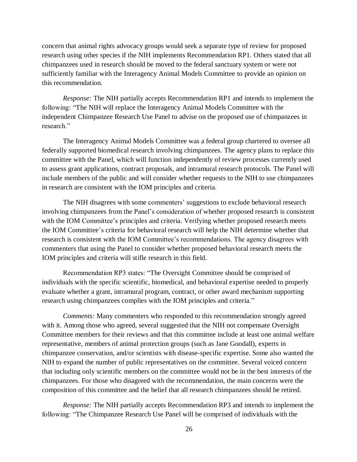concern that animal rights advocacy groups would seek a separate type of review for proposed research using other species if the NIH implements Recommendation RP1. Others stated that all chimpanzees used in research should be moved to the federal sanctuary system or were not sufficiently familiar with the Interagency Animal Models Committee to provide an opinion on this recommendation.

*Response:* The NIH partially accepts Recommendation RP1 and intends to implement the following: "The NIH will replace the Interagency Animal Models Committee with the independent Chimpanzee Research Use Panel to advise on the proposed use of chimpanzees in research."

The Interagency Animal Models Committee was a federal group chartered to oversee all federally supported biomedical research involving chimpanzees. The agency plans to replace this committee with the Panel, which will function independently of review processes currently used to assess grant applications, contract proposals, and intramural research protocols. The Panel will include members of the public and will consider whether requests to the NIH to use chimpanzees in research are consistent with the IOM principles and criteria.

The NIH disagrees with some commenters' suggestions to exclude behavioral research involving chimpanzees from the Panel's consideration of whether proposed research is consistent with the IOM Committee's principles and criteria. Verifying whether proposed research meets the IOM Committee's criteria for behavioral research will help the NIH determine whether that research is consistent with the IOM Committee's recommendations. The agency disagrees with commenters that using the Panel to consider whether proposed behavioral research meets the IOM principles and criteria will stifle research in this field.

Recommendation RP3 states: "The Oversight Committee should be comprised of individuals with the specific scientific, biomedical, and behavioral expertise needed to properly evaluate whether a grant, intramural program, contract, or other award mechanism supporting research using chimpanzees complies with the IOM principles and criteria."

*Comments:* Many commenters who responded to this recommendation strongly agreed with it. Among those who agreed, several suggested that the NIH not compensate Oversight Committee members for their reviews and that this committee include at least one animal welfare representative, members of animal protection groups (such as Jane Goodall), experts in chimpanzee conservation, and/or scientists with disease-specific expertise. Some also wanted the NIH to expand the number of public representatives on the committee. Several voiced concern that including only scientific members on the committee would not be in the best interests of the chimpanzees. For those who disagreed with the recommendation, the main concerns were the composition of this committee and the belief that all research chimpanzees should be retired.

*Response:* The NIH partially accepts Recommendation R P3 and intends to implement the following: "The Chimpanzee Research Use Panel will be comprised of individuals with the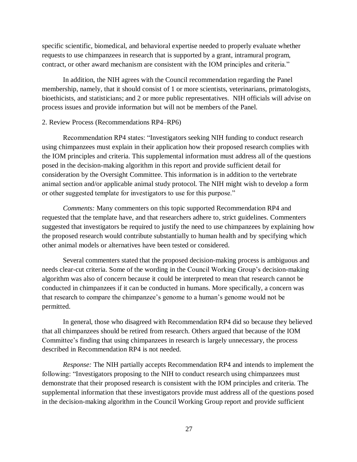specific scientific, biomedical, and behavioral expertise needed to properly evaluate whether requests to use chimpanzees in research that is supported by a grant, intramural program, contract, or other award mechanism are consistent with the IOM principles and criteria."

In addition, the NIH agrees with the Council recommendation regarding the Panel membership, namely, that it should consist of 1 or more scientists, veterinarians, primatologists, bioethicists, and statisticians; and 2 or more public representatives. NIH officials will advise on process issues and provide information but will not be members of the Panel.

#### 2. Review Process (Recommendations RP4–RP6)

Recommendation RP4 states: "Investigators seeking NIH funding to conduct research using chimpanzees must explain in their application how their proposed research complies with the IOM principles and criteria. This supplemental information must address all of the questions posed in the decision-making algorithm in this report and provide sufficient detail for consideration by the Oversight Committee. This information is in addition to the vertebrate animal section and/or applicable animal study protocol. The NIH might wish to develop a form or other suggested template for investigators to use for this purpose."

*Comments:* Many commenters on this topic supported Recommendation RP4 and requested that the template have, and that researchers adhere to, strict guidelines. Commenters suggested that investigators be required to justify the need to use chimpanzees by explaining how the proposed research would contribute substantially to human health and by specifying which other animal models or alternatives have been tested or considered.

Several commenters stated that the proposed decision-making process is ambiguous and needs clear-cut criteria. Some of the wording in the Council Working Group's decision-making algorithm was also of concern because it could be interpreted to mean that research cannot be conducted in chimpanzees if it can be conducted in humans. More specifically, a concern was that research to compare the chimpanzee's genome to a human's genome would not be permitted.

In general, those who disagreed with Recommendation RP4 did so because they believed that all chimpanzees should be retired from research. Others argued that because of the IOM Committee's finding that using chimpanzees in research is largely unnecessary, the process described in Recommendation RP4 is not needed.

*Response:* The NIH partially accepts Recommendation RP4 and intends to implement the following: "Investigators proposing to the NIH to conduct research using chimpanzees must demonstrate that their proposed research is consistent with the IOM principles and criteria. The supplemental information that these investigators provide must address all of the questions posed in the decision-making algorithm in the Council Working Group report and provide sufficient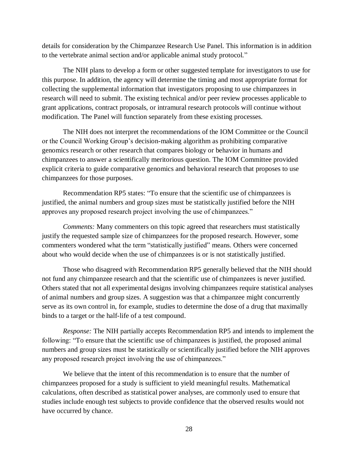details for consideration by the Chimpanzee Research Use Panel. This information is in addition to the vertebrate animal section and/or applicable animal study protocol."

The NIH plans to develop a form or other suggested template for investigators to use for this purpose. In addition, the agency will determine the timing and most appropriate format for collecting the supplemental information that investigators proposing to use chimpanzees in research will need to submit. The existing technical and/or peer review processes applicable to grant applications, contract proposals, or intramural research protocols will continue without modification. The Panel will function separately from these existing processes.

The NIH does not interpret the recommendations of the IOM Committee or the Council or the Council Working Group's decision-making algorithm as prohibiting comparative genomics research or other research that compares biology or behavior in humans and chimpanzees to answer a scientifically meritorious question. The IOM Committee provided explicit criteria to guide comparative genomics and behavioral research that proposes to use chimpanzees for those purposes.

Recommendation RP5 states: "To ensure that the scientific use of chimpanzees is justified, the animal numbers and group sizes must be statistically justified before the NIH approves any proposed research project involving the use of chimpanzees."

*Comments:* Many commenters on this topic agreed that researchers must statistically justify the requested sample size of chimpanzees for the proposed research. However, some commenters wondered what the term "statistically justified" means. Others were concerned about who would decide when the use of chimpanzees is or is not statistically justified.

Those who disagreed with Recommendation RP5 generally believed that the NIH should not fund any chimpanzee research and that the scientific use of chimpanzees is never justified. Others stated that not all experimental designs involving chimpanzees require statistical analyses of animal numbers and group sizes. A suggestion was that a chimpanzee might concurrently serve as its own control in, for example, studies to determine the dose of a drug that maximally binds to a target or the half-life of a test compound.

*Response:* The NIH partially accepts Recommendation RP5 and intends to implement the following: "To ensure that the scientific use of chimpanzees is justified, the proposed animal numbers and group sizes must be statistically or scientifically justified before the NIH approves any proposed research project involving the use of chimpanzees."

We believe that the intent of this recommendation is to ensure that the number of chimpanzees proposed for a study is sufficient to yield meaningful results. Mathematical calculations, often described as statistical power analyses, are commo nly used to ensure that studies include enough test subjects to provide confidence that the observed results would not have occurred by chance.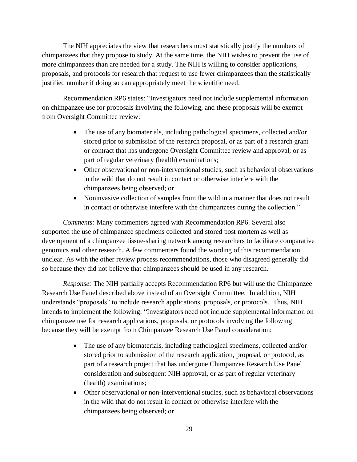The NIH appreciates the view that researchers must statistically justify the numbers of chimpanzees that they propose to study. At the same time, the NIH wishes to prevent the use of more chimpanzees than are needed for a study. The NIH is willing to consider applications, proposals, and protocols for research that request to use fewer chimpanzees than the statistically justified number if doing so can appropriately meet the scientific need.

Recommendation RP6 states: "Investigators need not include supplemental information on chimpanzee use for proposals involving the following, and these proposals will be exempt from Oversight Committee review:

- The use of any biomaterials, including pathological specimens, collected and/or stored prior to submission of the research proposal, or as part of a research grant or contract that has undergone Oversight Committee review and approval, or as part of regular veterinary (health) examinations;
- Other observational or non-interventional studies, such as behavioral observations in the wild that do not result in contact or otherwise interfere with the chimpanzees being observed; or
- Noninvasive collection of samples from the wild in a manner that does not result in contact or otherwise interfere with the chimpanzees during the collection."

*Comments:* Many commenters agreed with Recommendation RP6. Several also supported the use of chimpanzee specimens collected and stored post mortem as well as development of a chimpanzee tissue-sharing network among researchers to facilitate comparative genomics and other research. A few commenters found the wording of this recommendation unclear. As with the other review process recommendations, those who disagreed generally did so because they did not believe that chimpanzees should be used in any research.

*Response:* The NIH partially accepts Recommendation RP6 but will use the Chimpanzee Research Use Panel described above instead of an Oversight Committee. In addition, NIH understands "proposals" to include research applications, proposals, or protocols. Thus, NIH intends to implement the following: "Investigators need not include supplemental information on chimpanzee use for research applications, proposals, or protocols involving the following because they will be exempt from Chimpanzee Research Use Panel consideration:

- The use of any biomaterials, including pathological specimens, collected and/or stored prior to submission of the research application, proposal, or protocol, as part of a research project that has undergone Chimpanzee Research Use Panel consideration and subsequent NIH approval, or as part of regular veterinary (health) examinations;
- Other observational or non-interventional studies, such as behavioral observations in the wild that do not result in contact or otherwise interfere with the chimpanzees being observed; or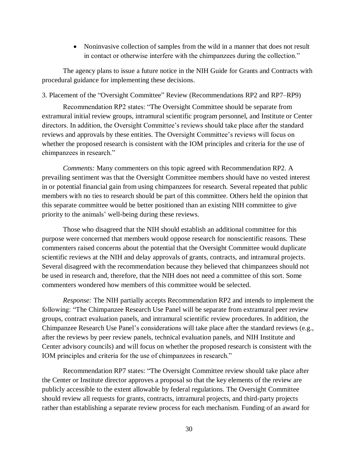• Noninvasive collection of samples from the wild in a manner that does not result in contact or otherwise interfere with the chimpanzees during the collection."

The agency plans to issue a future notice in the NIH Guide for Grants and Contracts with procedural guidance for implementing these decisions.

3. Placement of the "Oversight Committee" Review (Recommendations RP2 and RP7–RP9)

Recommendation RP2 states: "The Oversight Committee should be separate from extramural initial review groups, intramural scientific program personnel, and Institute or Center directors. In addition, the Oversight Committee's reviews should take place after the standard reviews and approvals by these entities. The Oversight Committee's reviews will focus on whether the proposed research is consistent with the IOM principles and criteria for the use of chimpanzees in research."

*Comments:* Many commenters on this topic agreed with Recommendation RP2. A prevailing sentiment was that the Oversight Committee members should have no vested interest in or potential financial gain from using chimpanzees for research. Several repeated that public members with no ties to research should be part of this committee. Others held the opinion that this separate committee would be better positioned than an existing NIH committee to give priority to the animals' well-being during these reviews.

Those who disagreed that the NIH should establish an additional committee for this purpose were concerned that members would oppose research for nonscientific reasons. These commenters raised concerns about the potential that the Oversight Committee would duplicate scientific reviews at the NIH and delay approvals of grants, contracts, and intramural projects. Several disagreed with the recommendation because they believed that chimpanzees should not be used in research and, therefore, that the NIH does not need a committee of this sort. Some commenters wondered how members of this committee would be selected.

*Response:* The NIH partially accepts Recommendation RP2 and intends to implement the following: "The Chimpanzee Research Use Panel will be separate from extramural peer review groups, contract evaluation panels, and intramural scientific review procedures. In addition, the Chimpanzee Research Use Panel's considerations will take place after the standard reviews (e.g., after the reviews by peer review panels, technical evaluation panels, and NIH Institute and Center advisory councils) and will focus on whether the proposed research is consistent with the IOM principles and criteria for the use of chimpanzees in research."

Recommendation RP7 states: "The Oversight Committee review should take place after the Center or Institute director approves a proposal so that the key elements of the review are publicly accessible to the extent allowable by federal regulations. The Oversight Committee should review all requests for grants, contracts, intramural projects, and third-party projects rather than establishing a separate review process for each mechanism. Funding of an award for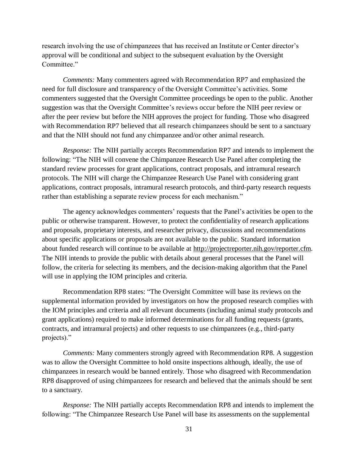research involving the use of chimpanzees that has received an Institute or Center director's approval will be conditional and subject to the subsequent evaluation by the Oversight Committee."

*Comments:* Many commenters agreed with Recommendation RP7 and emphasized the need for full disclosure and transparency of the Oversight Committee's activities. Some commenters suggested that the Oversight Committee proceedings be open to the public. Another suggestion was that the Oversight Committee's reviews occur before the NIH peer review or after the peer review but before the NIH approves the project for funding. Those who disagreed with Recommendation RP7 believed that all research chimpanzees should be sent to a sanctuary and that the NIH should not fund any chimpanzee and/or other animal research.

*Response:* The NIH partially accepts Recommendation RP7 and intends to implement the following: "The NIH will convene the Chimpanzee Research Use Panel after completing the standard review processes for grant applications, contract proposals, and intramural research protocols. The NIH will charge the Chimpanzee Research Use Panel with considering grant applications, contract proposals, intramural research protocols, and third-party research requests rather than establishing a separate review process for each mechanism."

The agency acknowledges commenters' requests that the Panel's activities be open to the public or otherwise transparent. However, to protect the confidentiality of research applications and proposals, proprietary interests, and researcher privacy, discussions and recommendations about specific applications or proposals are not available to the public. Standard information about funded research will continue to be available at [http://projectreporter.nih.gov/reporter.cfm.](http://projectreporter.nih.gov/reporter.cfm) The NIH intends to provide the public with details about general processes that the Panel will follow, the criteria for selecting its members, and the decision-making algorithm that the Panel will use in applying the IOM principles and criteria.

Recommendation RP8 states: "The Oversight Committee will base its reviews on the supplemental information provided by investigators on how the proposed research complies with the IOM principles and criteria and all relevant documents (including animal study protocols and grant applications) required to make informed determinations for all funding requests (grants, contracts, and intramural projects) and other requests to use chimpanzees (e.g., third-party projects)."

*Comments:* Many commenters strongly agreed with Recommendation RP8. A suggestion was to allow the Oversight Committee to hold onsite inspections although, ideally, the use of chimpanzees in research would be banned entirely. Those who disagreed with Recommendation RP8 disapproved of using chimpanzees for research and believed that the animals should be sent to a sanctuary.

*Response:* The NIH partially accepts Recommendation RP 8 and intends to implement the following: "The Chimpanzee Research Use Panel will base its assessments on the supplemental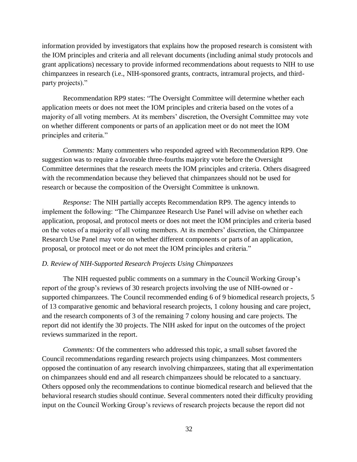information provided by investigators that explains how the proposed research is consistent with the IOM principles and criteria and all relevant documents (including animal study protocols and grant applications) necessary to provide informed recommendations about requests to NIH to use chimpanzees in research (i.e., NIH-sponsored grants, contracts, intramural projects, and thirdparty projects)."

Recommendation RP9 states: "The Oversight Committee will determine whether each application meets or does not meet the IOM principles and criteria based on the votes of a majority of all voting members. At its members' discretion, the Oversight Committee may vote on whether different components or parts of an application meet or do not meet the IOM principles and criteria."

*Comments:* Many commenters who responded agreed with Recommendation RP9. One suggestion was to require a favorable three-fourths majority vote before the Oversight Committee determines that the research meets the IOM principles and criteria. Others disagreed with the recommendation because they believed that chimpanzees should not be used for research or because the composition of the Oversight Committee is unknown.

*Response:* The NIH partially accepts Recommendation RP9. The agency intends to implement the following: "The Chimpanzee Research Use Panel will advise on whether each application, proposal, and protocol meets or does not meet the IOM principles and criteria based on the votes of a majority of all voting members. At its members' discretion, the Chimpanzee Research Use Panel may vote on whether different components or parts of an application, proposal, or protocol meet or do not meet the IOM principles and criteria."

## *D. Review of NIH-Supported Research Projects Using Chimpanzees*

The NIH requested public comments on a summary in the Council Working Group's report of the group's reviews of 30 research projects involving the use of NIH-owned or supported chimpanzees. The Council recommended ending 6 of 9 biomedical research projects, 5 of 13 comparative genomic and behavioral research projects, 1 colony housing and care project, and the research components of 3 of the remaining 7 colony housing and care projects. The report did not identify the 30 projects. The NIH asked for input on the outcomes of the project reviews summarized in the report.

*Comments:* Of the commenters who addressed this topic, a small subset favored the Council recommendations regarding research projects using chimpanzees. Most commenters opposed the continuation of any research involving chimpanzees, stating that all experimentation on chimpanzees should end and all research chimpanzees should be relocated to a sanctuary. Others opposed only the recommendations to continue biomedical res earch and believed that the behavioral research studies should continue. Several commenters noted their difficulty providing input on the Council Working Group's reviews of research projects because the report did not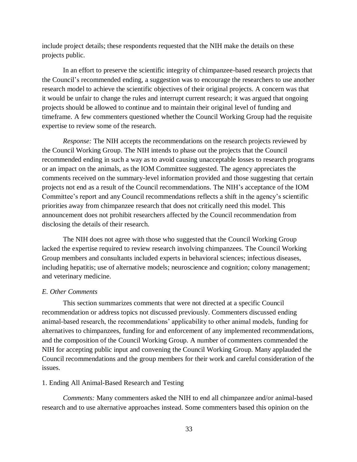include project details; these respondents requested that the NIH make the details on these projects public.

In an effort to preserve the scientific integrity of chimpanzee-based research projects that the Council's recommended ending, a suggestion was to encourage the researchers to use another research model to achieve the scientific objectives of their original projects. A concern was that it would be unfair to change the rules and interrupt current research; it was argued that ongoing projects should be allowed to continue and to maintain their original level of funding and timeframe. A few commenters questioned whether the Council Working Group had the requisite expertise to review some of the research.

*Response:* The NIH accepts the recommendations on the research projects reviewed by the Council Working Group. The NIH intends to phase out the projects that the Council recommended ending in such a way as to avoid causing unacceptable losses to research programs or an impact on the animals, as the IOM Committee suggested. The agency appreciates the comments received on the summary-level information provided and those suggesting that certain projects not end as a result of the Council recommendations. The NIH's acceptance of the IOM Committee's report and any Council recommendations reflects a shift in the agency's scientific priorities away from chimpanzee research that does not critically need this model. This announcement does not prohibit researchers affected by the Council recommendation from disclosing the details of their research.

The NIH does not agree with those who suggested that the Council Working Group lacked the expertise required to review research involving chimpanzees. The Council Working Group members and consultants included experts in behavioral sciences; infectious diseases, including hepatitis; use of alternative models; neuroscience and cognition; colony management; and veterinary medicine.

#### *E. Other Comments*

This section summarizes comments that were not directed at a specific Council recommendation or address topics not discussed previously. Commenters discussed ending animal-based research, the recommendations' applicability to other animal models, funding for alternatives to chimpanzees, funding for and enforcement of any implemented recommendations, and the composition of the Council Working Group. A number of commenters commended the NIH for accepting public input and convening the Council Working Group. Many applauded the Council recommendations and the group members for their work and careful consideration of the issues.

#### 1. Ending All Animal-Based Research and Testing

*Comments:* Many commenters asked the NIH to end all c himpanzee and/or animal-based research and to use alternative approaches instead. Some commenters based this opinion on the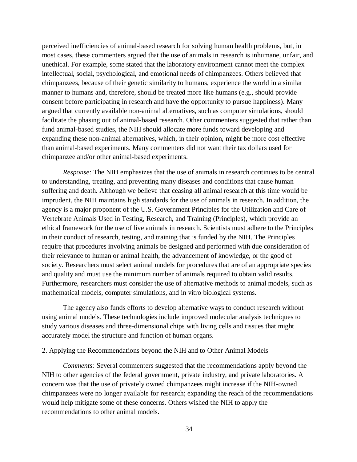perceived inefficiencies of animal-based research for solving human health problems, but, in most cases, these commenters argued that the use of animals in research is inhumane, unfair, and unethical. For example, some stated that the laboratory environment cannot meet the complex intellectual, social, psychological, and emotional needs of chimpanzees. Others believed that chimpanzees, because of their genetic similarity to humans, experience the world in a similar manner to humans and, therefore, should be treated more like humans (e.g., should provide consent before participating in research and have the opportunity to pursue happiness). Many argued that currently available non-animal alternatives, such as computer simulations, should facilitate the phasing out of animal-based research. Other commenters suggested that rather than fund animal-based studies, the NIH should allocate more funds toward developing and expanding these non-animal alternatives, which, in their opinion, might be more cost effective than animal-based experiments. Many commenters did not want their tax dollars used for chimpanzee and/or other animal-based experiments.

*Response:* The NIH emphasizes that the use of animals in research continues to be central to understanding, treating, and preventing many diseases and conditions that cause human suffering and death. Although we believe that ceasing all animal research at this time would be imprudent, the NIH maintains high standards for the use of animals in research. In addition, the agency is a major proponent of the U.S. Government Principles for the Utilization and Care of Vertebrate Animals Used in Testing, Research, and Training (Principles), which provide an ethical framework for the use of live animals in research. Scientists must adhere to the Principles in their conduct of research, testing, and training that is funded by the NIH. The Principles require that procedures involving animals be designed and performed with due consideration of their relevance to human or animal health, the advancement of knowledge, or the good of society. Researchers must select animal models for procedures that are of an appropriate species and quality and must use the minimum number of animals required to obtain valid results. Furthermore, researchers must consider the use of alternative methods to animal models, such as mathematical models, computer simulations, and in vitro biological systems.

The agency also funds efforts to develop alternative ways to conduct research without using animal models. These technologies include improved molecular analysis techniques to study various diseases and three-dimensional chips with living cells and tissues that might accurately model the structure and function of human organs.

## 2. Applying the Recommendations beyond the NIH and to Other Animal Models

*Comments:* Several commenters suggested that the recommendations apply beyond the NIH to other agencies of the federal government, private industry, and private laboratories. A concern was that the use of privately owned chimpanzees might increas e if the NIH-owned chimpanzees were no longer available for research; expanding the reach of the recommendations would help mitigate some of these concerns. Others wished the NIH to apply the recommendations to other animal models.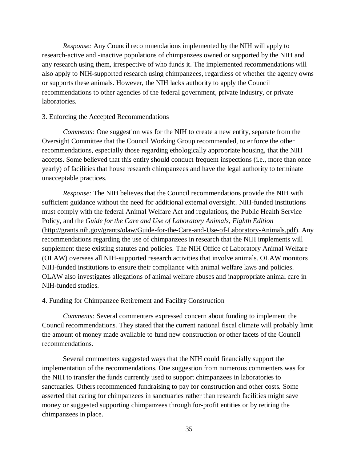*Response:* Any Council recommendations implemented by the NIH will apply to research-active and -inactive populations of chimpanzees owned or supported by the NIH and any research using them, irrespective of who funds it. The implemented recommendations will also apply to NIH-supported research using chimpanzees, regardless of whether the agency owns or supports these animals. However, the NIH lacks authority to apply the Council recommendations to other agencies of the federal government, private industry, or private laboratories.

## 3. Enforcing the Accepted Recommendations

*Comments:* One suggestion was for the NIH to create a new entity, separate from the Oversight Committee that the Council Working Group recommended, to enforce the other recommendations, especially those regarding ethologically appropriate housing, that the NIH accepts. Some believed that this entity should conduct frequent inspections (i.e., more than once yearly) of facilities that house research chimpanzees and have the legal authority to terminate unacceptable practices.

*Response:* The NIH believes that the Council recommendations provide the NIH with sufficient guidance without the need for additional external oversight. NIH-funded institutions must comply with the federal Animal Welfare Act and regulations, the Public Health Service Policy, and the *Guide for the Care and Use of Laboratory Animals, Eighth Edition*  [\(http://grants.nih.gov/grants/olaw/Guide-for-the-Care-and-Use-of-Laboratory-Animals.pdf\)](http://grants.nih.gov/grants/olaw/Guide-for-the-Care-and-Use-of-Laboratory-Animals.pdf). Any recommendations regarding the use of chimpanzees in research that the NIH implements will supplement these existing statutes and policies. The NIH Office of Laboratory Animal Welfare (OLAW) oversees all NIH-supported research activities that involve animals. OLAW monitors NIH-funded institutions to ensure their compliance with animal welfare laws and policies. OLAW also investigates allegations of animal welfare abuses and inappropriate animal care in NIH-funded studies.

#### 4. Funding for Chimpanzee Retirement and Facility Construction

*Comments:* Several commenters expressed concern about funding to implement the Council recommendations. They stated that the current national fiscal climate will probably limit the amount of money made available to fund new construction or other facets of the Council recommendations.

Several commenters suggested ways that the NIH could financially support the implementation of the recommendations. One suggestion from numerous commenters was for the NIH to transfer the funds currently used to support chimpanzees in laboratories to sanctuaries. Others recommended fundraising to pay for construction and other costs. Some asserted that caring for chimpanzees in sanctuaries rather than re search facilities might save money or suggested supporting chimpanzees through for-profit entities or by retiring the chimpanzees in place.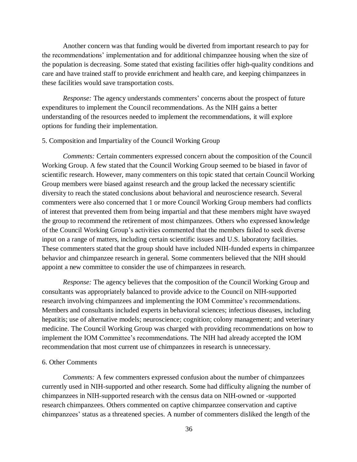Another concern was that funding would be diverted from important research to pay for the recommendations' implementation and for additional chimpanzee housing when the size of the population is decreasing. Some stated that existing facilities offer high-quality conditions and care and have trained staff to provide enrichment and health care, and keeping chimpanzees in these facilities would save transportation costs.

*Response:* The agency understands commenters' concerns about the prospect of future expenditures to implement the Council recommendations. As the NIH gains a better understanding of the resources needed to implement the recommendations, it will explore options for funding their implementation.

## 5. Composition and Impartiality of the Council Working Group

*Comments:* Certain commenters expressed concern about the composition of the Council Working Group. A few stated that the Council Working Group seemed to be biased in favor of scientific research. However, many commenters on this topic stated that certain Council Working Group members were biased against research and the group lacked the necessary scientific diversity to reach the stated conclusions about behavioral and neuroscience research. Several commenters were also concerned that 1 or more Council Working Group members had conflicts of interest that prevented them from being impartial and that these members might have swayed the group to recommend the retirement of most chimpanzees. Others who expressed knowledge of the Council Working Group's activities commented that the members failed to seek diverse input on a range of matters, including certain scientific issues and U.S. laboratory facilities. These commenters stated that the group should have included NIH-funded experts in chimpanzee behavior and chimpanzee research in general. Some commenters believed that the NIH should appoint a new committee to consider the use of chimpanzees in research.

*Response:* The agency believes that the composition of the Council Working Group and consultants was appropriately balanced to provide advice to the Council on NIH-supported research involving chimpanzees and implementing the IOM Committee's recommendations. Members and consultants included experts in behavioral sciences; infectious diseases, including hepatitis; use of alternative models; neuroscience; cognition; colony management; and veterinary medicine. The Council Working Group was charged with providing recommendations on how to implement the IOM Committee's recommendations. The NIH had already accepted the IOM recommendation that most current use of chimpanzees in research is unnecessary.

## 6. Other Comments

*Comments:* A few commenters expressed confusion about the number of chimpanzees currently used in NIH-supported and other research. Some had difficulty aligning the number of chimpanzees in NIH-supported research with the census dat a on NIH-owned or -supported research chimpanzees. Others commented on captive chimpanzee conservation and captive chimpanzees' status as a threatened species. A number of commenters disliked the length of the